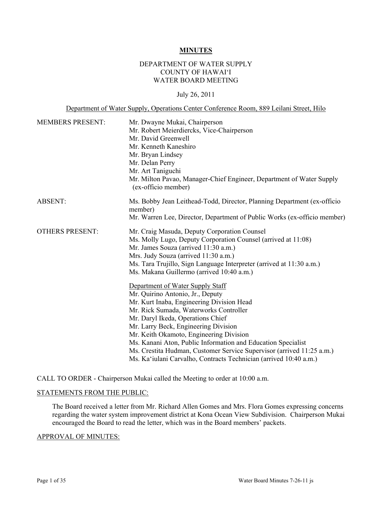### **MINUTES**

## DEPARTMENT OF WATER SUPPLY COUNTY OF HAWAI'I WATER BOARD MEETING

## July 26, 2011

### Department of Water Supply, Operations Center Conference Room, 889 Leilani Street, Hilo

| <b>MEMBERS PRESENT:</b> | Mr. Dwayne Mukai, Chairperson<br>Mr. Robert Meierdiercks, Vice-Chairperson<br>Mr. David Greenwell<br>Mr. Kenneth Kaneshiro<br>Mr. Bryan Lindsey<br>Mr. Delan Perry<br>Mr. Art Taniguchi<br>Mr. Milton Pavao, Manager-Chief Engineer, Department of Water Supply<br>(ex-officio member)                                                                                                                                                                                                            |
|-------------------------|---------------------------------------------------------------------------------------------------------------------------------------------------------------------------------------------------------------------------------------------------------------------------------------------------------------------------------------------------------------------------------------------------------------------------------------------------------------------------------------------------|
| <b>ABSENT:</b>          | Ms. Bobby Jean Leithead-Todd, Director, Planning Department (ex-officio<br>member)                                                                                                                                                                                                                                                                                                                                                                                                                |
|                         | Mr. Warren Lee, Director, Department of Public Works (ex-officio member)                                                                                                                                                                                                                                                                                                                                                                                                                          |
| <b>OTHERS PRESENT:</b>  | Mr. Craig Masuda, Deputy Corporation Counsel<br>Ms. Molly Lugo, Deputy Corporation Counsel (arrived at 11:08)<br>Mr. James Souza (arrived 11:30 a.m.)<br>Mrs. Judy Souza (arrived 11:30 a.m.)<br>Ms. Tara Trujillo, Sign Language Interpreter (arrived at 11:30 a.m.)<br>Ms. Makana Guillermo (arrived 10:40 a.m.)                                                                                                                                                                                |
|                         | Department of Water Supply Staff<br>Mr. Quirino Antonio, Jr., Deputy<br>Mr. Kurt Inaba, Engineering Division Head<br>Mr. Rick Sumada, Waterworks Controller<br>Mr. Daryl Ikeda, Operations Chief<br>Mr. Larry Beck, Engineering Division<br>Mr. Keith Okamoto, Engineering Division<br>Ms. Kanani Aton, Public Information and Education Specialist<br>Ms. Crestita Hudman, Customer Service Supervisor (arrived 11:25 a.m.)<br>Ms. Ka'iulani Carvalho, Contracts Technician (arrived 10:40 a.m.) |

CALL TO ORDER - Chairperson Mukai called the Meeting to order at 10:00 a.m.

### STATEMENTS FROM THE PUBLIC:

The Board received a letter from Mr. Richard Allen Gomes and Mrs. Flora Gomes expressing concerns regarding the water system improvement district at Kona Ocean View Subdivision. Chairperson Mukai encouraged the Board to read the letter, which was in the Board members' packets.

#### APPROVAL OF MINUTES: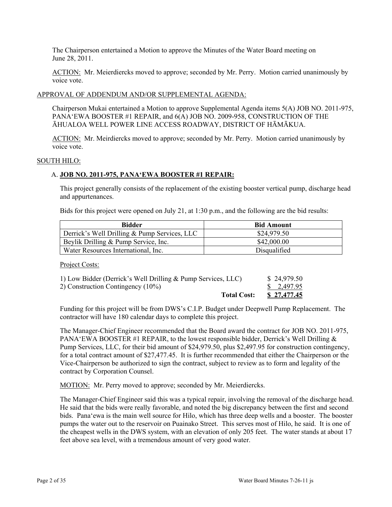The Chairperson entertained a Motion to approve the Minutes of the Water Board meeting on June 28, 2011.

ACTION: Mr. Meierdiercks moved to approve; seconded by Mr. Perry. Motion carried unanimously by voice vote.

### APPROVAL OF ADDENDUM AND/OR SUPPLEMENTAL AGENDA:

Chairperson Mukai entertained a Motion to approve Supplemental Agenda items 5(A) JOB NO. 2011-975, PANA'EWA BOOSTER #1 REPAIR, and 6(A) JOB NO. 2009-958, CONSTRUCTION OF THE ĀHUALOA WELL POWER LINE ACCESS ROADWAY, DISTRICT OF HĀMĀKUA.

ACTION: Mr. Meirdiercks moved to approve; seconded by Mr. Perry. Motion carried unanimously by voice vote.

### SOUTH HILO:

### A. **JOB NO. 2011-975, PANA'EWA BOOSTER #1 REPAIR:**

This project generally consists of the replacement of the existing booster vertical pump, discharge head and appurtenances.

Bids for this project were opened on July 21, at 1:30 p.m., and the following are the bid results:

| Bidder                                       | <b>Bid Amount</b> |
|----------------------------------------------|-------------------|
| Derrick's Well Drilling & Pump Services, LLC | \$24,979.50       |
| Beylik Drilling & Pump Service, Inc.         | \$42,000.00       |
| Water Resources International, Inc.          | Disqualified      |

Project Costs:

| <b>Total Cost:</b>                                           | <u>\$27,477.45</u>    |
|--------------------------------------------------------------|-----------------------|
| 2) Construction Contingency (10%)                            | $\frac{\$}{2,497.95}$ |
| 1) Low Bidder (Derrick's Well Drilling & Pump Services, LLC) | \$24,979.50           |

Funding for this project will be from DWS's C.I.P. Budget under Deepwell Pump Replacement. The contractor will have 180 calendar days to complete this project.

The Manager-Chief Engineer recommended that the Board award the contract for JOB NO. 2011-975, PANA'EWA BOOSTER #1 REPAIR, to the lowest responsible bidder, Derrick's Well Drilling  $\&$ Pump Services, LLC, for their bid amount of \$24,979.50, plus \$2,497.95 for construction contingency, for a total contract amount of \$27,477.45. It is further recommended that either the Chairperson or the Vice-Chairperson be authorized to sign the contract, subject to review as to form and legality of the contract by Corporation Counsel.

MOTION: Mr. Perry moved to approve; seconded by Mr. Meierdiercks.

The Manager-Chief Engineer said this was a typical repair, involving the removal of the discharge head. He said that the bids were really favorable, and noted the big discrepancy between the first and second bids. Pana'ewa is the main well source for Hilo, which has three deep wells and a booster. The booster pumps the water out to the reservoir on Puainako Street. This serves most of Hilo, he said. It is one of the cheapest wells in the DWS system, with an elevation of only 205 feet. The water stands at about 17 feet above sea level, with a tremendous amount of very good water.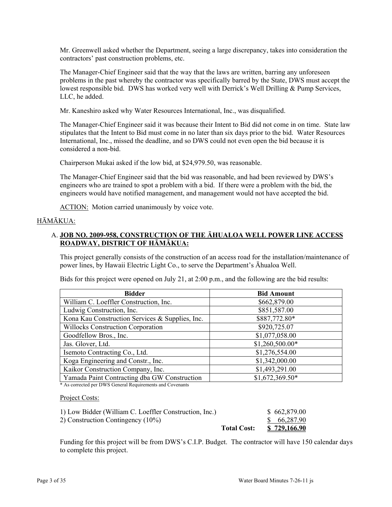Mr. Greenwell asked whether the Department, seeing a large discrepancy, takes into consideration the contractors' past construction problems, etc.

The Manager-Chief Engineer said that the way that the laws are written, barring any unforeseen problems in the past whereby the contractor was specifically barred by the State, DWS must accept the lowest responsible bid. DWS has worked very well with Derrick's Well Drilling & Pump Services, LLC, he added.

Mr. Kaneshiro asked why Water Resources International, Inc., was disqualified.

The Manager-Chief Engineer said it was because their Intent to Bid did not come in on time. State law stipulates that the Intent to Bid must come in no later than six days prior to the bid. Water Resources International, Inc., missed the deadline, and so DWS could not even open the bid because it is considered a non-bid.

Chairperson Mukai asked if the low bid, at \$24,979.50, was reasonable.

The Manager-Chief Engineer said that the bid was reasonable, and had been reviewed by DWS's engineers who are trained to spot a problem with a bid. If there were a problem with the bid, the engineers would have notified management, and management would not have accepted the bid.

ACTION: Motion carried unanimously by voice vote.

## HĀMĀKUA:

# A. **JOB NO. 2009-958, CONSTRUCTION OF THE ĀHUALOA WELL POWER LINE ACCESS ROADWAY, DISTRICT OF HĀMĀKUA:**

This project generally consists of the construction of an access road for the installation/maintenance of power lines, by Hawaii Electric Light Co., to serve the Department's Āhualoa Well.

Bids for this project were opened on July 21, at 2:00 p.m., and the following are the bid results:

| <b>Bidder</b>                                   | <b>Bid Amount</b> |  |
|-------------------------------------------------|-------------------|--|
| William C. Loeffler Construction, Inc.          | \$662,879.00      |  |
| Ludwig Construction, Inc.                       | \$851,587.00      |  |
| Kona Kau Construction Services & Supplies, Inc. | \$887,772.80*     |  |
| <b>Willocks Construction Corporation</b>        | \$920,725.07      |  |
| Goodfellow Bros., Inc.                          | \$1,077,058.00    |  |
| Jas. Glover, Ltd.                               | \$1,260,500.00*   |  |
| Isemoto Contracting Co., Ltd.                   | \$1,276,554.00    |  |
| Koga Engineering and Constr., Inc.              | \$1,342,000.00    |  |
| Kaikor Construction Company, Inc.               | \$1,493,291.00    |  |
| Yamada Paint Contracting dba GW Construction    | \$1,672,369.50*   |  |

\* As corrected per DWS General Requirements and Covenants

### Project Costs:

| 1) Low Bidder (William C. Loeffler Construction, Inc.) |                    | \$662,879.00        |
|--------------------------------------------------------|--------------------|---------------------|
| 2) Construction Contingency $(10\%)$                   |                    | \$66,287.90         |
|                                                        | <b>Total Cost:</b> | <u>\$729,166.90</u> |

Funding for this project will be from DWS's C.I.P. Budget. The contractor will have 150 calendar days to complete this project.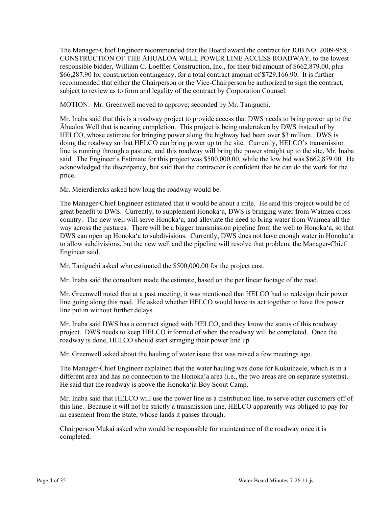The Manager-Chief Engineer recommended that the Board award the contract for JOB NO. 2009-958, CONSTRUCTION OF THE ĀHUALOA WELL POWER LINE ACCESS ROADWAY, to the lowest responsible bidder, William C. Loeffler Construction, Inc., for their bid amount of \$662,879.00, plus \$66,287.90 for construction contingency, for a total contract amount of \$729,166.90. It is further recommended that either the Chairperson or the Vice-Chairperson be authorized to sign the contract, subject to review as to form and legality of the contract by Corporation Counsel.

MOTION: Mr. Greenwell moved to approve; seconded by Mr. Taniguchi.

Mr. Inaba said that this is a roadway project to provide access that DWS needs to bring power up to the Āhualoa Well that is nearing completion. This project is being undertaken by DWS instead of by HELCO, whose estimate for bringing power along the highway had been over \$3 million. DWS is doing the roadway so that HELCO can bring power up to the site. Currently, HELCO's transmission line is running through a pasture, and this roadway will bring the power straight up to the site, Mr. Inaba said. The Engineer's Estimate for this project was \$500,000.00, while the low bid was \$662,879.00. He acknowledged the discrepancy, but said that the contractor is confident that he can do the work for the price.

Mr. Meierdiercks asked how long the roadway would be.

The Manager-Chief Engineer estimated that it would be about a mile. He said this project would be of great benefit to DWS. Currently, to supplement Honoka'a, DWS is bringing water from Waimea crosscountry. The new well will serve Honoka'a, and alleviate the need to bring water from Waimea all the way across the pastures. There will be a bigger transmission pipeline from the well to Honoka'a, so that DWS can open up Honoka'a to subdivisions. Currently, DWS does not have enough water in Honoka'a to allow subdivisions, but the new well and the pipeline will resolve that problem, the Manager-Chief Engineer said.

Mr. Taniguchi asked who estimated the \$500,000.00 for the project cost.

Mr. Inaba said the consultant made the estimate, based on the per linear footage of the road.

Mr. Greenwell noted that at a past meeting, it was mentioned that HELCO had to redesign their power line going along this road. He asked whether HELCO would have its act together to have this power line put in without further delays.

Mr. Inaba said DWS has a contract signed with HELCO, and they know the status of this roadway project. DWS needs to keep HELCO informed of when the roadway will be completed. Once the roadway is done, HELCO should start stringing their power line up.

Mr. Greenwell asked about the hauling of water issue that was raised a few meetings ago.

The Manager-Chief Engineer explained that the water hauling was done for Kukuihaele, which is in a different area and has no connection to the Honoka'a area (i.e., the two areas are on separate systems). He said that the roadway is above the Honoka'ia Boy Scout Camp.

Mr. Inaba said that HELCO will use the power line as a distribution line, to serve other customers off of this line. Because it will not be strictly a transmission line, HELCO apparently was obliged to pay for an easement from the State, whose lands it passes through.

Chairperson Mukai asked who would be responsible for maintenance of the roadway once it is completed.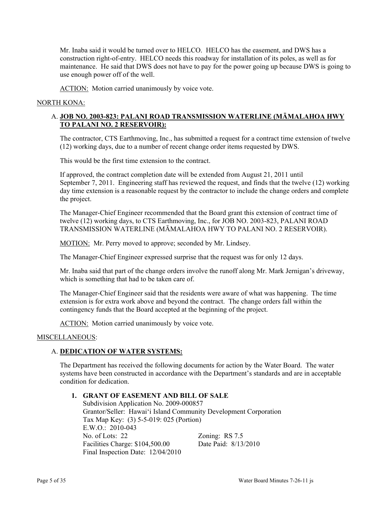Mr. Inaba said it would be turned over to HELCO. HELCO has the easement, and DWS has a construction right-of-entry. HELCO needs this roadway for installation of its poles, as well as for maintenance. He said that DWS does not have to pay for the power going up because DWS is going to use enough power off of the well.

ACTION: Motion carried unanimously by voice vote.

# NORTH KONA:

## A. **JOB NO. 2003-823: PALANI ROAD TRANSMISSION WATERLINE (MĀMALAHOA HWY TO PALANI NO. 2 RESERVOIR):**

The contractor, CTS Earthmoving, Inc., has submitted a request for a contract time extension of twelve (12) working days, due to a number of recent change order items requested by DWS.

This would be the first time extension to the contract.

If approved, the contract completion date will be extended from August 21, 2011 until September 7, 2011. Engineering staff has reviewed the request, and finds that the twelve (12) working day time extension is a reasonable request by the contractor to include the change orders and complete the project.

The Manager-Chief Engineer recommended that the Board grant this extension of contract time of twelve (12) working days, to CTS Earthmoving, Inc., for JOB NO. 2003-823, PALANI ROAD TRANSMISSION WATERLINE (MĀMALAHOA HWY TO PALANI NO. 2 RESERVOIR).

MOTION: Mr. Perry moved to approve; seconded by Mr. Lindsey.

The Manager-Chief Engineer expressed surprise that the request was for only 12 days.

Mr. Inaba said that part of the change orders involve the runoff along Mr. Mark Jernigan's driveway, which is something that had to be taken care of.

The Manager-Chief Engineer said that the residents were aware of what was happening. The time extension is for extra work above and beyond the contract. The change orders fall within the contingency funds that the Board accepted at the beginning of the project.

ACTION: Motion carried unanimously by voice vote.

### MISCELLANEOUS:

## A. **DEDICATION OF WATER SYSTEMS:**

The Department has received the following documents for action by the Water Board. The water systems have been constructed in accordance with the Department's standards and are in acceptable condition for dedication.

# **1. GRANT OF EASEMENT AND BILL OF SALE**

Subdivision Application No. 2009-000857 Grantor/Seller: Hawai'i Island Community Development Corporation Tax Map Key: (3) 5-5-019: 025 (Portion)  $E W O \cdot 2010 - 043$ No. of Lots: 22 Zoning: RS 7.5 Facilities Charge: \$104,500.00 Date Paid: 8/13/2010 Final Inspection Date: 12/04/2010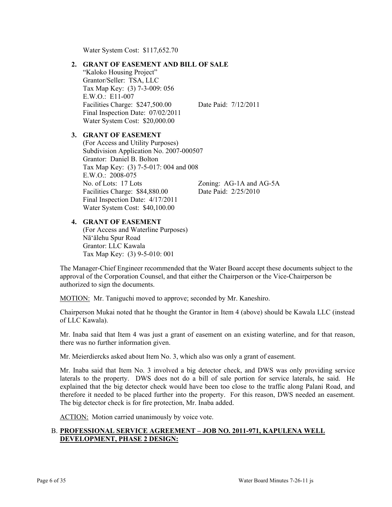Water System Cost: \$117,652.70

## **2. GRANT OF EASEMENT AND BILL OF SALE**

"Kaloko Housing Project" Grantor/Seller: TSA, LLC Tax Map Key: (3) 7-3-009: 056 E.W.O.: E11-007 Facilities Charge: \$247,500.00 Date Paid: 7/12/2011 Final Inspection Date: 07/02/2011 Water System Cost: \$20,000.00

## **3. GRANT OF EASEMENT**

(For Access and Utility Purposes) Subdivision Application No. 2007-000507 Grantor: Daniel B. Bolton Tax Map Key: (3) 7-5-017: 004 and 008 E.W.O.: 2008-075 No. of Lots: 17 Lots Zoning: AG-1A and AG-5A Facilities Charge: \$84,880.00 Date Paid: 2/25/2010 Final Inspection Date: 4/17/2011 Water System Cost: \$40,100.00

### **4. GRANT OF EASEMENT**

(For Access and Waterline Purposes) Nā'ālehu Spur Road Grantor: LLC Kawala Tax Map Key: (3) 9-5-010: 001

The Manager-Chief Engineer recommended that the Water Board accept these documents subject to the approval of the Corporation Counsel, and that either the Chairperson or the Vice-Chairperson be authorized to sign the documents.

MOTION: Mr. Taniguchi moved to approve; seconded by Mr. Kaneshiro.

Chairperson Mukai noted that he thought the Grantor in Item 4 (above) should be Kawala LLC (instead of LLC Kawala).

Mr. Inaba said that Item 4 was just a grant of easement on an existing waterline, and for that reason, there was no further information given.

Mr. Meierdiercks asked about Item No. 3, which also was only a grant of easement.

Mr. Inaba said that Item No. 3 involved a big detector check, and DWS was only providing service laterals to the property. DWS does not do a bill of sale portion for service laterals, he said. He explained that the big detector check would have been too close to the traffic along Palani Road, and therefore it needed to be placed further into the property. For this reason, DWS needed an easement. The big detector check is for fire protection, Mr. Inaba added.

ACTION: Motion carried unanimously by voice vote.

## B. **PROFESSIONAL SERVICE AGREEMENT – JOB NO. 2011-971, KAPULENA WELL DEVELOPMENT, PHASE 2 DESIGN:**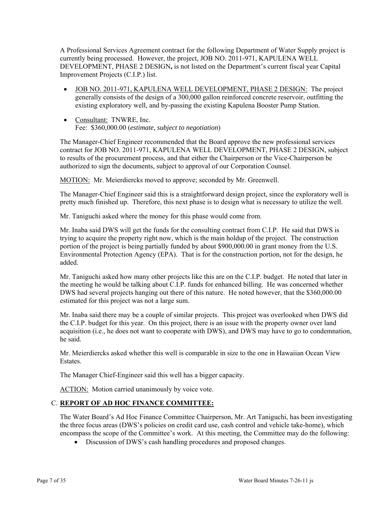A Professional Services Agreement contract for the following Department of Water Supply project is currently being processed. However, the project, JOB NO. 2011-971, KAPULENA WELL DEVELOPMENT, PHASE 2 DESIGN**,** is not listed on the Department's current fiscal year Capital Improvement Projects (C.I.P.) list.

- JOB NO. 2011-971, KAPULENA WELL DEVELOPMENT, PHASE 2 DESIGN: The project generally consists of the design of a 300,000 gallon reinforced concrete reservoir, outfitting the existing exploratory well, and by-passing the existing Kapulena Booster Pump Station.
- Consultant: TNWRE, Inc. Fee: \$360,000.00 (*estimate, subject to negotiation*)

The Manager-Chief Engineer recommended that the Board approve the new professional services contract for JOB NO. 2011-971, KAPULENA WELL DEVELOPMENT, PHASE 2 DESIGN, subject to results of the procurement process, and that either the Chairperson or the Vice-Chairperson be authorized to sign the documents, subject to approval of our Corporation Counsel.

MOTION: Mr. Meierdiercks moved to approve; seconded by Mr. Greenwell.

The Manager-Chief Engineer said this is a straightforward design project, since the exploratory well is pretty much finished up. Therefore, this next phase is to design what is necessary to utilize the well.

Mr. Taniguchi asked where the money for this phase would come from.

Mr. Inaba said DWS will get the funds for the consulting contract from C.I.P. He said that DWS is trying to acquire the property right now, which is the main holdup of the project. The construction portion of the project is being partially funded by about \$900,000.00 in grant money from the U.S. Environmental Protection Agency (EPA). That is for the construction portion, not for the design, he added.

Mr. Taniguchi asked how many other projects like this are on the C.I.P. budget. He noted that later in the meeting he would be talking about C.I.P. funds for enhanced billing. He was concerned whether DWS had several projects hanging out there of this nature. He noted however, that the \$360,000.00 estimated for this project was not a large sum.

Mr. Inaba said there may be a couple of similar projects. This project was overlooked when DWS did the C.I.P. budget for this year. On this project, there is an issue with the property owner over land acquisition (i.e., he does not want to cooperate with DWS), and DWS may have to go to condemnation, he said.

Mr. Meierdiercks asked whether this well is comparable in size to the one in Hawaiian Ocean View Estates.

The Manager Chief-Engineer said this well has a bigger capacity.

ACTION: Motion carried unanimously by voice vote.

# C. **REPORT OF AD HOC FINANCE COMMITTEE:**

The Water Board's Ad Hoc Finance Committee Chairperson, Mr. Art Taniguchi, has been investigating the three focus areas (DWS's policies on credit card use, cash control and vehicle take-home), which encompass the scope of the Committee's work. At this meeting, the Committee may do the following:

Discussion of DWS's cash handling procedures and proposed changes.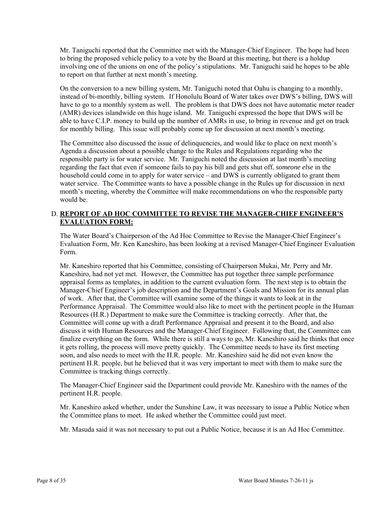Mr. Taniguchi reported that the Committee met with the Manager-Chief Engineer. The hope had been to bring the proposed vehicle policy to a vote by the Board at this meeting, but there is a holdup involving one of the unions on one of the policy's stipulations. Mr. Taniguchi said he hopes to be able to report on that further at next month's meeting.

On the conversion to a new billing system, Mr. Taniguchi noted that Oahu is changing to a monthly, instead of bi-monthly, billing system. If Honolulu Board of Water takes over DWS's billing, DWS will have to go to a monthly system as well. The problem is that DWS does not have automatic meter reader (AMR) devices islandwide on this huge island. Mr. Taniguchi expressed the hope that DWS will be able to have C.I.P. money to build up the number of AMRs in use, to bring in revenue and get on track for monthly billing. This issue will probably come up for discussion at next month's meeting.

The Committee also discussed the issue of delinquencies, and would like to place on next month's Agenda a discussion about a possible change to the Rules and Regulations regarding who the responsible party is for water service. Mr. Taniguchi noted the discussion at last month's meeting regarding the fact that even if someone fails to pay his bill and gets shut off, *someone else* in the household could come in to apply for water service – and DWS is currently obligated to grant them water service. The Committee wants to have a possible change in the Rules up for discussion in next month's meeting, whereby the Committee will make recommendations on who the responsible party would be.

# D. **REPORT OF AD HOC COMMITTEE TO REVISE THE MANAGER-CHIEF ENGINEER'S EVALUATION FORM:**

The Water Board's Chairperson of the Ad Hoc Committee to Revise the Manager-Chief Engineer's Evaluation Form, Mr. Ken Kaneshiro, has been looking at a revised Manager-Chief Engineer Evaluation Form.

Mr. Kaneshiro reported that his Committee, consisting of Chairperson Mukai, Mr. Perry and Mr. Kaneshiro, had not yet met. However, the Committee has put together three sample performance appraisal forms as templates, in addition to the current evaluation form. The next step is to obtain the Manager-Chief Engineer's job description and the Department's Goals and Mission for its annual plan of work. After that, the Committee will examine some of the things it wants to look at in the Performance Appraisal. The Committee would also like to meet with the pertinent people in the Human Resources (H.R.) Department to make sure the Committee is tracking correctly. After that, the Committee will come up with a draft Performance Appraisal and present it to the Board, and also discuss it with Human Resources and the Manager-Chief Engineer. Following that, the Committee can finalize everything on the form. While there is still a ways to go, Mr. Kaneshiro said he thinks that once it gets rolling, the process will move pretty quickly. The Committee needs to have its first meeting soon, and also needs to meet with the H.R. people. Mr. Kaneshiro said he did not even know the pertinent H.R. people, but he believed that it was very important to meet with them to make sure the Committee is tracking things correctly.

The Manager-Chief Engineer said the Department could provide Mr. Kaneshiro with the names of the pertinent H.R. people.

Mr. Kaneshiro asked whether, under the Sunshine Law, it was necessary to issue a Public Notice when the Committee plans to meet. He asked whether the Committee could just meet.

Mr. Masuda said it was not necessary to put out a Public Notice, because it is an Ad Hoc Committee.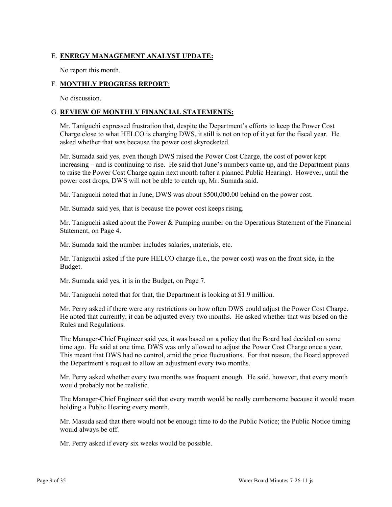# E. **ENERGY MANAGEMENT ANALYST UPDATE:**

No report this month.

# F. **MONTHLY PROGRESS REPORT**:

No discussion.

# G. **REVIEW OF MONTHLY FINANCIAL STATEMENTS:**

Mr. Taniguchi expressed frustration that, despite the Department's efforts to keep the Power Cost Charge close to what HELCO is charging DWS, it still is not on top of it yet for the fiscal year. He asked whether that was because the power cost skyrocketed.

Mr. Sumada said yes, even though DWS raised the Power Cost Charge, the cost of power kept increasing – and is continuing to rise. He said that June's numbers came up, and the Department plans to raise the Power Cost Charge again next month (after a planned Public Hearing). However, until the power cost drops, DWS will not be able to catch up, Mr. Sumada said.

Mr. Taniguchi noted that in June, DWS was about \$500,000.00 behind on the power cost.

Mr. Sumada said yes, that is because the power cost keeps rising.

Mr. Taniguchi asked about the Power & Pumping number on the Operations Statement of the Financial Statement, on Page 4.

Mr. Sumada said the number includes salaries, materials, etc.

Mr. Taniguchi asked if the pure HELCO charge (i.e., the power cost) was on the front side, in the Budget.

Mr. Sumada said yes, it is in the Budget, on Page 7.

Mr. Taniguchi noted that for that, the Department is looking at \$1.9 million.

Mr. Perry asked if there were any restrictions on how often DWS could adjust the Power Cost Charge. He noted that currently, it can be adjusted every two months. He asked whether that was based on the Rules and Regulations.

The Manager-Chief Engineer said yes, it was based on a policy that the Board had decided on some time ago. He said at one time, DWS was only allowed to adjust the Power Cost Charge once a year. This meant that DWS had no control, amid the price fluctuations. For that reason, the Board approved the Department's request to allow an adjustment every two months.

Mr. Perry asked whether every two months was frequent enough. He said, however, that every month would probably not be realistic.

The Manager-Chief Engineer said that every month would be really cumbersome because it would mean holding a Public Hearing every month.

Mr. Masuda said that there would not be enough time to do the Public Notice; the Public Notice timing would always be off.

Mr. Perry asked if every six weeks would be possible.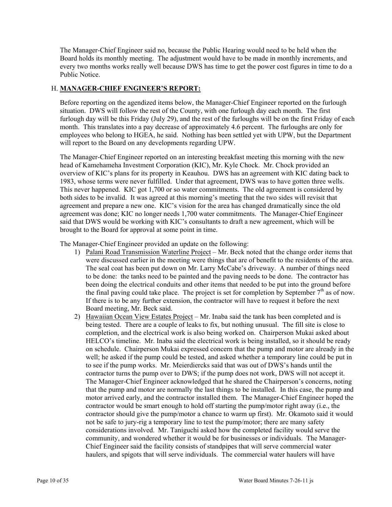The Manager-Chief Engineer said no, because the Public Hearing would need to be held when the Board holds its monthly meeting. The adjustment would have to be made in monthly increments, and every two months works really well because DWS has time to get the power cost figures in time to do a Public Notice.

## H. **MANAGER-CHIEF ENGINEER'S REPORT:**

Before reporting on the agendized items below, the Manager-Chief Engineer reported on the furlough situation. DWS will follow the rest of the County, with one furlough day each month. The first furlough day will be this Friday (July 29), and the rest of the furloughs will be on the first Friday of each month. This translates into a pay decrease of approximately 4.6 percent. The furloughs are only for employees who belong to HGEA, he said. Nothing has been settled yet with UPW, but the Department will report to the Board on any developments regarding UPW.

The Manager-Chief Engineer reported on an interesting breakfast meeting this morning with the new head of Kamehameha Investment Corporation (KIC), Mr. Kyle Chock. Mr. Chock provided an overview of KIC's plans for its property in Keauhou. DWS has an agreement with KIC dating back to 1983, whose terms were never fulfilled. Under that agreement, DWS was to have gotten three wells. This never happened. KIC got 1,700 or so water commitments. The old agreement is considered by both sides to be invalid. It was agreed at this morning's meeting that the two sides will revisit that agreement and prepare a new one. KIC's vision for the area has changed dramatically since the old agreement was done; KIC no longer needs 1,700 water commitments. The Manager-Chief Engineer said that DWS would be working with KIC's consultants to draft a new agreement, which will be brought to the Board for approval at some point in time.

The Manager-Chief Engineer provided an update on the following:

- 1) Palani Road Transmission Waterline Project Mr. Beck noted that the change order items that were discussed earlier in the meeting were things that are of benefit to the residents of the area. The seal coat has been put down on Mr. Larry McCabe's driveway. A number of things need to be done: the tanks need to be painted and the paving needs to be done. The contractor has been doing the electrical conduits and other items that needed to be put into the ground before the final paving could take place. The project is set for completion by September  $7<sup>th</sup>$  as of now. If there is to be any further extension, the contractor will have to request it before the next Board meeting, Mr. Beck said.
- 2) Hawaiian Ocean View Estates Project Mr. Inaba said the tank has been completed and is being tested. There are a couple of leaks to fix, but nothing unusual. The fill site is close to completion, and the electrical work is also being worked on. Chairperson Mukai asked about HELCO's timeline. Mr. Inaba said the electrical work is being installed, so it should be ready on schedule. Chairperson Mukai expressed concern that the pump and motor are already in the well; he asked if the pump could be tested, and asked whether a temporary line could be put in to see if the pump works. Mr. Meierdiercks said that was out of DWS's hands until the contractor turns the pump over to DWS; if the pump does not work, DWS will not accept it. The Manager-Chief Engineer acknowledged that he shared the Chairperson's concerns, noting that the pump and motor are normally the last things to be installed. In this case, the pump and motor arrived early, and the contractor installed them. The Manager-Chief Engineer hoped the contractor would be smart enough to hold off starting the pump/motor right away (i.e., the contractor should give the pump/motor a chance to warm up first). Mr. Okamoto said it would not be safe to jury-rig a temporary line to test the pump/motor; there are many safety considerations involved. Mr. Taniguchi asked how the completed facility would serve the community, and wondered whether it would be for businesses or individuals. The Manager-Chief Engineer said the facility consists of standpipes that will serve commercial water haulers, and spigots that will serve individuals. The commercial water haulers will have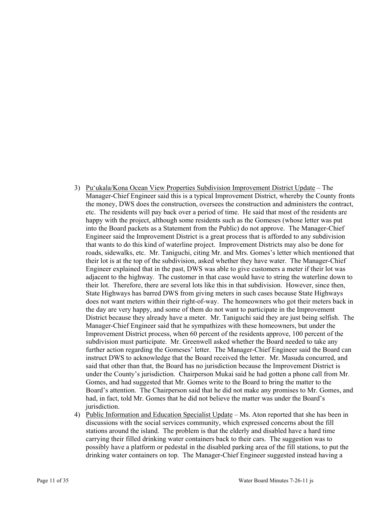- 3) Pu'ukala/Kona Ocean View Properties Subdivision Improvement District Update The Manager-Chief Engineer said this is a typical Improvement District, whereby the County fronts the money, DWS does the construction, oversees the construction and administers the contract, etc. The residents will pay back over a period of time. He said that most of the residents are happy with the project, although some residents such as the Gomeses (whose letter was put into the Board packets as a Statement from the Public) do not approve. The Manager-Chief Engineer said the Improvement District is a great process that is afforded to any subdivision that wants to do this kind of waterline project. Improvement Districts may also be done for roads, sidewalks, etc. Mr. Taniguchi, citing Mr. and Mrs. Gomes's letter which mentioned that their lot is at the top of the subdivision, asked whether they have water. The Manager-Chief Engineer explained that in the past, DWS was able to give customers a meter if their lot was adjacent to the highway. The customer in that case would have to string the waterline down to their lot. Therefore, there are several lots like this in that subdivision. However, since then, State Highways has barred DWS from giving meters in such cases because State Highways does not want meters within their right-of-way. The homeowners who got their meters back in the day are very happy, and some of them do not want to participate in the Improvement District because they already have a meter. Mr. Taniguchi said they are just being selfish. The Manager-Chief Engineer said that he sympathizes with these homeowners, but under the Improvement District process, when 60 percent of the residents approve, 100 percent of the subdivision must participate. Mr. Greenwell asked whether the Board needed to take any further action regarding the Gomeses' letter. The Manager-Chief Engineer said the Board can instruct DWS to acknowledge that the Board received the letter. Mr. Masuda concurred, and said that other than that, the Board has no jurisdiction because the Improvement District is under the County's jurisdiction. Chairperson Mukai said he had gotten a phone call from Mr. Gomes, and had suggested that Mr. Gomes write to the Board to bring the matter to the Board's attention. The Chairperson said that he did not make any promises to Mr. Gomes, and had, in fact, told Mr. Gomes that he did not believe the matter was under the Board's jurisdiction.
- 4) Public Information and Education Specialist Update Ms. Aton reported that she has been in discussions with the social services community, which expressed concerns about the fill stations around the island. The problem is that the elderly and disabled have a hard time carrying their filled drinking water containers back to their cars. The suggestion was to possibly have a platform or pedestal in the disabled parking area of the fill stations, to put the drinking water containers on top. The Manager-Chief Engineer suggested instead having a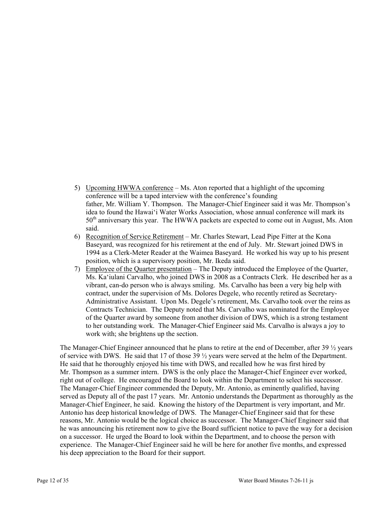- 5) Upcoming HWWA conference Ms. Aton reported that a highlight of the upcoming conference will be a taped interview with the conference's founding father, Mr. William Y. Thompson. The Manager-Chief Engineer said it was Mr. Thompson's idea to found the Hawai'i Water Works Association, whose annual conference will mark its 50<sup>th</sup> anniversary this year. The HWWA packets are expected to come out in August, Ms. Aton said.
- 6) Recognition of Service Retirement Mr. Charles Stewart, Lead Pipe Fitter at the Kona Baseyard, was recognized for his retirement at the end of July. Mr. Stewart joined DWS in 1994 as a Clerk-Meter Reader at the Waimea Baseyard. He worked his way up to his present position, which is a supervisory position, Mr. Ikeda said.
- 7) Employee of the Quarter presentation The Deputy introduced the Employee of the Quarter, Ms. Ka'iulani Carvalho, who joined DWS in 2008 as a Contracts Clerk. He described her as a vibrant, can-do person who is always smiling. Ms. Carvalho has been a very big help with contract, under the supervision of Ms. Dolores Degele, who recently retired as Secretary-Administrative Assistant. Upon Ms. Degele's retirement, Ms. Carvalho took over the reins as Contracts Technician. The Deputy noted that Ms. Carvalho was nominated for the Employee of the Quarter award by someone from another division of DWS, which is a strong testament to her outstanding work. The Manager-Chief Engineer said Ms. Carvalho is always a joy to work with; she brightens up the section.

The Manager-Chief Engineer announced that he plans to retire at the end of December, after 39  $\frac{1}{2}$  years of service with DWS. He said that 17 of those  $39\frac{1}{2}$  years were served at the helm of the Department. He said that he thoroughly enjoyed his time with DWS, and recalled how he was first hired by Mr. Thompson as a summer intern. DWS is the only place the Manager-Chief Engineer ever worked, right out of college. He encouraged the Board to look within the Department to select his successor. The Manager-Chief Engineer commended the Deputy, Mr. Antonio, as eminently qualified, having served as Deputy all of the past 17 years. Mr. Antonio understands the Department as thoroughly as the Manager-Chief Engineer, he said. Knowing the history of the Department is very important, and Mr. Antonio has deep historical knowledge of DWS. The Manager-Chief Engineer said that for these reasons, Mr. Antonio would be the logical choice as successor. The Manager-Chief Engineer said that he was announcing his retirement now to give the Board sufficient notice to pave the way for a decision on a successor. He urged the Board to look within the Department, and to choose the person with experience. The Manager-Chief Engineer said he will be here for another five months, and expressed his deep appreciation to the Board for their support.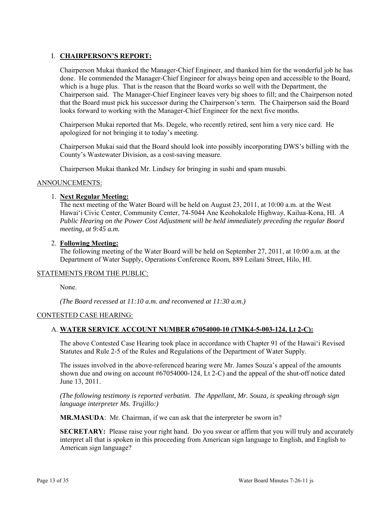# I. **CHAIRPERSON'S REPORT:**

Chairperson Mukai thanked the Manager-Chief Engineer, and thanked him for the wonderful job he has done. He commended the Manager-Chief Engineer for always being open and accessible to the Board, which is a huge plus. That is the reason that the Board works so well with the Department, the Chairperson said. The Manager-Chief Engineer leaves very big shoes to fill; and the Chairperson noted that the Board must pick his successor during the Chairperson's term. The Chairperson said the Board looks forward to working with the Manager-Chief Engineer for the next five months.

Chairperson Mukai reported that Ms. Degele, who recently retired, sent him a very nice card. He apologized for not bringing it to today's meeting.

Chairperson Mukai said that the Board should look into possibly incorporating DWS's billing with the County's Wastewater Division, as a cost-saving measure.

Chairperson Mukai thanked Mr. Lindsey for bringing in sushi and spam musubi.

## ANNOUNCEMENTS:

## 1. **Next Regular Meeting:**

The next meeting of the Water Board will be held on August 23, 2011, at 10:00 a.m. at the West Hawai'i Civic Center, Community Center, 74-5044 Ane Keohokalole Highway, Kailua-Kona, HI. *A Public Hearing on the Power Cost Adjustment will be held immediately preceding the regular Board meeting, at 9:45 a.m.* 

## 2. **Following Meeting:**

The following meeting of the Water Board will be held on September 27, 2011, at 10:00 a.m. at the Department of Water Supply, Operations Conference Room, 889 Leilani Street, Hilo, HI.

## STATEMENTS FROM THE PUBLIC:

None.

*(The Board recessed at 11:10 a.m. and reconvened at 11:30 a.m.)* 

# CONTESTED CASE HEARING:

## A. **WATER SERVICE ACCOUNT NUMBER 67054000-10 (TMK4-5-003-124, Lt 2-C):**

The above Contested Case Hearing took place in accordance with Chapter 91 of the Hawai'i Revised Statutes and Rule 2-5 of the Rules and Regulations of the Department of Water Supply.

The issues involved in the above-referenced hearing were Mr. James Souza's appeal of the amounts shown due and owing on account #67054000-124, Lt 2-C) and the appeal of the shut-off notice dated June 13, 2011.

*(The following testimony is reported verbatim. The Appellant, Mr. Souza, is speaking through sign language interpreter Ms. Trujillo:)*

**MR.MASUDA**: Mr. Chairman, if we can ask that the interpreter be sworn in?

**SECRETARY:** Please raise your right hand. Do you swear or affirm that you will truly and accurately interpret all that is spoken in this proceeding from American sign language to English, and English to American sign language?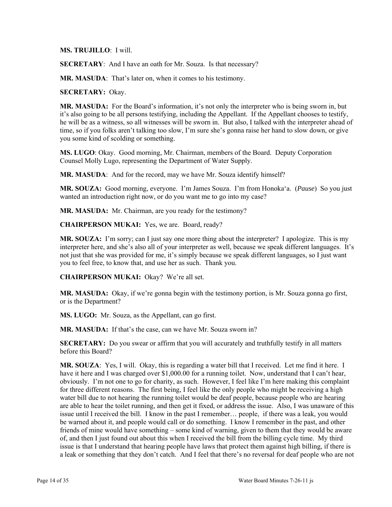**MS. TRUJILLO**: I will.

**SECRETARY**: And I have an oath for Mr. Souza. Is that necessary?

**MR. MASUDA**: That's later on, when it comes to his testimony.

**SECRETARY:** Okay.

**MR. MASUDA:** For the Board's information, it's not only the interpreter who is being sworn in, but it's also going to be all persons testifying, including the Appellant. If the Appellant chooses to testify, he will be as a witness, so all witnesses will be sworn in. But also, I talked with the interpreter ahead of time, so if you folks aren't talking too slow, I'm sure she's gonna raise her hand to slow down, or give you some kind of scolding or something.

**MS. LUGO**: Okay. Good morning, Mr. Chairman, members of the Board. Deputy Corporation Counsel Molly Lugo, representing the Department of Water Supply.

**MR. MASUDA**: And for the record, may we have Mr. Souza identify himself?

**MR. SOUZA:** Good morning, everyone. I'm James Souza. I'm from Honoka'a. (*Pause*) So you just wanted an introduction right now, or do you want me to go into my case?

**MR. MASUDA:** Mr. Chairman, are you ready for the testimony?

**CHAIRPERSON MUKAI:** Yes, we are. Board, ready?

**MR. SOUZA:** I'm sorry; can I just say one more thing about the interpreter? I apologize. This is my interpreter here, and she's also all of your interpreter as well, because we speak different languages. It's not just that she was provided for me, it's simply because we speak different languages, so I just want you to feel free, to know that, and use her as such. Thank you.

**CHAIRPERSON MUKAI:** Okay? We're all set.

**MR. MASUDA:** Okay, if we're gonna begin with the testimony portion, is Mr. Souza gonna go first, or is the Department?

**MS. LUGO:** Mr. Souza, as the Appellant, can go first.

**MR. MASUDA:** If that's the case, can we have Mr. Souza sworn in?

**SECRETARY:** Do you swear or affirm that you will accurately and truthfully testify in all matters before this Board?

**MR. SOUZA**: Yes, I will. Okay, this is regarding a water bill that I received. Let me find it here. I have it here and I was charged over \$1,000.00 for a running toilet. Now, understand that I can't hear, obviously. I'm not one to go for charity, as such. However, I feel like I'm here making this complaint for three different reasons. The first being, I feel like the only people who might be receiving a high water bill due to not hearing the running toilet would be deaf people, because people who are hearing are able to hear the toilet running, and then get it fixed, or address the issue. Also, I was unaware of this issue until I received the bill. I know in the past I remember… people, if there was a leak, you would be warned about it, and people would call or do something. I know I remember in the past, and other friends of mine would have something – some kind of warning, given to them that they would be aware of, and then I just found out about this when I received the bill from the billing cycle time. My third issue is that I understand that hearing people have laws that protect them against high billing, if there is a leak or something that they don't catch. And I feel that there's no reversal for deaf people who are not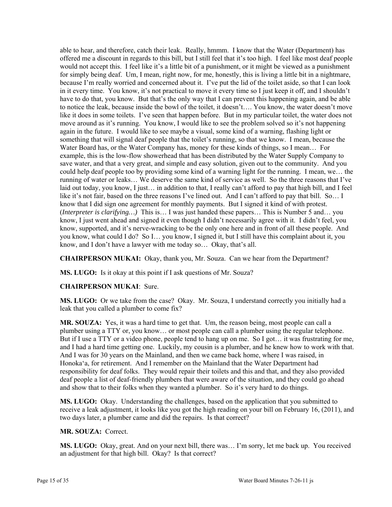able to hear, and therefore, catch their leak. Really, hmmm. I know that the Water (Department) has offered me a discount in regards to this bill, but I still feel that it's too high. I feel like most deaf people would not accept this. I feel like it's a little bit of a punishment, or it might be viewed as a punishment for simply being deaf. Um, I mean, right now, for me, honestly, this is living a little bit in a nightmare, because I'm really worried and concerned about it. I've put the lid of the toilet aside, so that I can look in it every time. You know, it's not practical to move it every time so I just keep it off, and I shouldn't have to do that, you know. But that's the only way that I can prevent this happening again, and be able to notice the leak, because inside the bowl of the toilet, it doesn't…. You know, the water doesn't move like it does in some toilets. I've seen that happen before. But in my particular toilet, the water does not move around as it's running. You know, I would like to see the problem solved so it's not happening again in the future. I would like to see maybe a visual, some kind of a warning, flashing light or something that will signal deaf people that the toilet's running, so that we know. I mean, because the Water Board has, or the Water Company has, money for these kinds of things, so I mean… For example, this is the low-flow showerhead that has been distributed by the Water Supply Company to save water, and that a very great, and simple and easy solution, given out to the community. And you could help deaf people too by providing some kind of a warning light for the running. I mean, we… the running of water or leaks… We deserve the same kind of service as well. So the three reasons that I've laid out today, you know, I just… in addition to that, I really can't afford to pay that high bill, and I feel like it's not fair, based on the three reasons I've lined out. And I can't afford to pay that bill. So… I know that I did sign one agreement for monthly payments. But I signed it kind of with protest. (*Interpreter is clarifying…)* This is… I was just handed these papers… This is Number 5 and… you know, I just went ahead and signed it even though I didn't necessarily agree with it. I didn't feel, you know, supported, and it's nerve-wracking to be the only one here and in front of all these people. And you know, what could I do? So I… you know, I signed it, but I still have this complaint about it, you know, and I don't have a lawyer with me today so… Okay, that's all.

**CHAIRPERSON MUKAI:** Okay, thank you, Mr. Souza. Can we hear from the Department?

**MS. LUGO:** Is it okay at this point if I ask questions of Mr. Souza?

# **CHAIRPERSON MUKAI**: Sure.

**MS. LUGO:** Or we take from the case? Okay. Mr. Souza, I understand correctly you initially had a leak that you called a plumber to come fix?

**MR. SOUZA:** Yes, it was a hard time to get that. Um, the reason being, most people can call a plumber using a TTY or, you know… or most people can call a plumber using the regular telephone. But if I use a TTY or a video phone, people tend to hang up on me. So I got... it was frustrating for me, and I had a hard time getting one. Luckily, my cousin is a plumber, and he knew how to work with that. And I was for 30 years on the Mainland, and then we came back home, where I was raised, in Honoka'a, for retirement. And I remember on the Mainland that the Water Department had responsibility for deaf folks. They would repair their toilets and this and that, and they also provided deaf people a list of deaf-friendly plumbers that were aware of the situation, and they could go ahead and show that to their folks when they wanted a plumber. So it's very hard to do things.

**MS. LUGO:** Okay. Understanding the challenges, based on the application that you submitted to receive a leak adjustment, it looks like you got the high reading on your bill on February 16, (2011), and two days later, a plumber came and did the repairs. Is that correct?

## **MR. SOUZA:** Correct.

**MS. LUGO:** Okay, great. And on your next bill, there was… I'm sorry, let me back up. You received an adjustment for that high bill. Okay? Is that correct?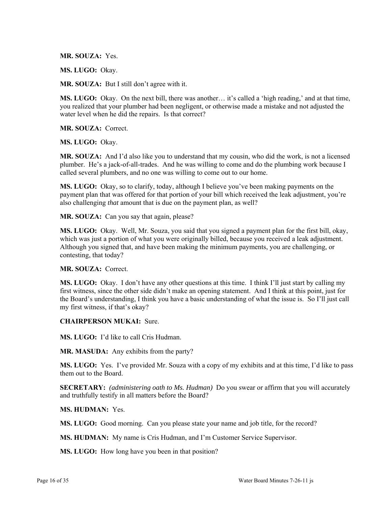**MR. SOUZA:** Yes.

**MS. LUGO:** Okay.

**MR. SOUZA:** But I still don't agree with it.

**MS. LUGO:** Okay. On the next bill, there was another… it's called a 'high reading,' and at that time, you realized that your plumber had been negligent, or otherwise made a mistake and not adjusted the water level when he did the repairs. Is that correct?

**MR. SOUZA:** Correct.

**MS. LUGO:** Okay.

**MR. SOUZA:** And I'd also like you to understand that my cousin, who did the work, is not a licensed plumber. He's a jack-of-all-trades. And he was willing to come and do the plumbing work because I called several plumbers, and no one was willing to come out to our home.

**MS. LUGO:** Okay, so to clarify, today, although I believe you've been making payments on the payment plan that was offered for that portion of your bill which received the leak adjustment, you're also challenging *that* amount that is due on the payment plan, as well?

**MR. SOUZA:** Can you say that again, please?

**MS. LUGO:** Okay. Well, Mr. Souza, you said that you signed a payment plan for the first bill, okay, which was just a portion of what you were originally billed, because you received a leak adjustment. Although you signed that, and have been making the minimum payments, you are challenging, or contesting, that today?

### **MR. SOUZA:** Correct.

**MS. LUGO:** Okay. I don't have any other questions at this time. I think I'll just start by calling my first witness, since the other side didn't make an opening statement. And I think at this point, just for the Board's understanding, I think you have a basic understanding of what the issue is. So I'll just call my first witness, if that's okay?

**CHAIRPERSON MUKAI:** Sure.

**MS. LUGO:** I'd like to call Cris Hudman.

**MR. MASUDA:** Any exhibits from the party?

**MS. LUGO:** Yes. I've provided Mr. Souza with a copy of my exhibits and at this time, I'd like to pass them out to the Board.

**SECRETARY:** *(administering oath to Ms. Hudman)* Do you swear or affirm that you will accurately and truthfully testify in all matters before the Board?

**MS. HUDMAN:** Yes.

**MS. LUGO:** Good morning. Can you please state your name and job title, for the record?

**MS. HUDMAN:** My name is Cris Hudman, and I'm Customer Service Supervisor.

**MS. LUGO:** How long have you been in that position?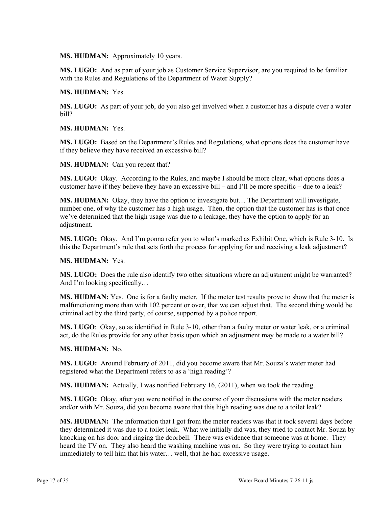**MS. HUDMAN:** Approximately 10 years.

**MS. LUGO:** And as part of your job as Customer Service Supervisor, are you required to be familiar with the Rules and Regulations of the Department of Water Supply?

**MS. HUDMAN:** Yes.

**MS. LUGO:** As part of your job, do you also get involved when a customer has a dispute over a water bill?

**MS. HUDMAN:** Yes.

**MS. LUGO:** Based on the Department's Rules and Regulations, what options does the customer have if they believe they have received an excessive bill?

**MS. HUDMAN:** Can you repeat that?

**MS. LUGO:** Okay. According to the Rules, and maybe I should be more clear, what options does a customer have if they believe they have an excessive bill – and I'll be more specific – due to a leak?

**MS. HUDMAN:** Okay, they have the option to investigate but… The Department will investigate, number one, of why the customer has a high usage. Then, the option that the customer has is that once we've determined that the high usage was due to a leakage, they have the option to apply for an adjustment.

**MS. LUGO:** Okay. And I'm gonna refer you to what's marked as Exhibit One, which is Rule 3-10. Is this the Department's rule that sets forth the process for applying for and receiving a leak adjustment?

**MS. HUDMAN:** Yes.

**MS. LUGO:** Does the rule also identify two other situations where an adjustment might be warranted? And I'm looking specifically…

**MS. HUDMAN:** Yes. One is for a faulty meter. If the meter test results prove to show that the meter is malfunctioning more than with 102 percent or over, that we can adjust that. The second thing would be criminal act by the third party, of course, supported by a police report.

**MS. LUGO**: Okay, so as identified in Rule 3-10, other than a faulty meter or water leak, or a criminal act, do the Rules provide for any other basis upon which an adjustment may be made to a water bill?

**MS. HUDMAN:** No.

**MS. LUGO:** Around February of 2011, did you become aware that Mr. Souza's water meter had registered what the Department refers to as a 'high reading'?

**MS. HUDMAN:** Actually, I was notified February 16, (2011), when we took the reading.

**MS. LUGO:** Okay, after you were notified in the course of your discussions with the meter readers and/or with Mr. Souza, did you become aware that this high reading was due to a toilet leak?

**MS. HUDMAN:** The information that I got from the meter readers was that it took several days before they determined it was due to a toilet leak. What we initially did was, they tried to contact Mr. Souza by knocking on his door and ringing the doorbell. There was evidence that someone was at home. They heard the TV on. They also heard the washing machine was on. So they were trying to contact him immediately to tell him that his water… well, that he had excessive usage.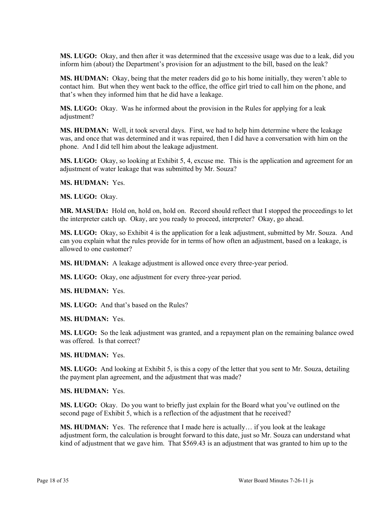**MS. LUGO:** Okay, and then after it was determined that the excessive usage was due to a leak, did you inform him (about) the Department's provision for an adjustment to the bill, based on the leak?

**MS. HUDMAN:** Okay, being that the meter readers did go to his home initially, they weren't able to contact him. But when they went back to the office, the office girl tried to call him on the phone, and that's when they informed him that he did have a leakage.

**MS. LUGO:** Okay. Was he informed about the provision in the Rules for applying for a leak adjustment?

**MS. HUDMAN:** Well, it took several days. First, we had to help him determine where the leakage was, and once that was determined and it was repaired, then I did have a conversation with him on the phone. And I did tell him about the leakage adjustment.

**MS. LUGO:** Okay, so looking at Exhibit 5, 4, excuse me. This is the application and agreement for an adjustment of water leakage that was submitted by Mr. Souza?

**MS. HUDMAN:** Yes.

**MS. LUGO:** Okay.

**MR. MASUDA:** Hold on, hold on, hold on. Record should reflect that I stopped the proceedings to let the interpreter catch up. Okay, are you ready to proceed, interpreter? Okay, go ahead.

**MS. LUGO:** Okay, so Exhibit 4 is the application for a leak adjustment, submitted by Mr. Souza. And can you explain what the rules provide for in terms of how often an adjustment, based on a leakage, is allowed to one customer?

**MS. HUDMAN:** A leakage adjustment is allowed once every three-year period.

**MS. LUGO:** Okay, one adjustment for every three-year period.

**MS. HUDMAN:** Yes.

**MS. LUGO:** And that's based on the Rules?

**MS. HUDMAN:** Yes.

**MS. LUGO:** So the leak adjustment was granted, and a repayment plan on the remaining balance owed was offered. Is that correct?

**MS. HUDMAN:** Yes.

**MS. LUGO:** And looking at Exhibit 5, is this a copy of the letter that you sent to Mr. Souza, detailing the payment plan agreement, and the adjustment that was made?

**MS. HUDMAN:** Yes.

**MS. LUGO:** Okay. Do you want to briefly just explain for the Board what you've outlined on the second page of Exhibit 5, which is a reflection of the adjustment that he received?

**MS. HUDMAN:** Yes. The reference that I made here is actually… if you look at the leakage adjustment form, the calculation is brought forward to this date, just so Mr. Souza can understand what kind of adjustment that we gave him. That \$569.43 is an adjustment that was granted to him up to the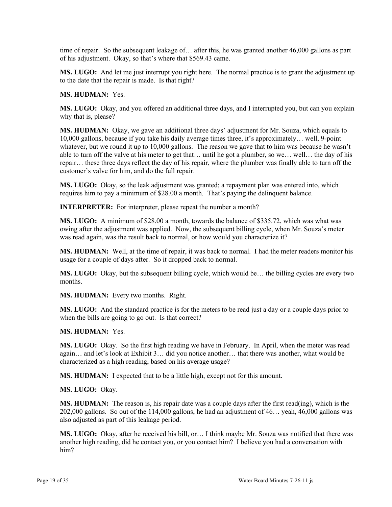time of repair. So the subsequent leakage of… after this, he was granted another 46,000 gallons as part of his adjustment. Okay, so that's where that \$569.43 came.

**MS. LUGO:** And let me just interrupt you right here. The normal practice is to grant the adjustment up to the date that the repair is made. Is that right?

**MS. HUDMAN:** Yes.

**MS. LUGO:** Okay, and you offered an additional three days, and I interrupted you, but can you explain why that is, please?

**MS. HUDMAN:** Okay, we gave an additional three days' adjustment for Mr. Souza, which equals to 10,000 gallons, because if you take his daily average times three, it's approximately… well, 9-point whatever, but we round it up to 10,000 gallons. The reason we gave that to him was because he wasn't able to turn off the valve at his meter to get that… until he got a plumber, so we… well… the day of his repair… these three days reflect the day of his repair, where the plumber was finally able to turn off the customer's valve for him, and do the full repair.

**MS. LUGO:** Okay, so the leak adjustment was granted; a repayment plan was entered into, which requires him to pay a minimum of \$28.00 a month. That's paying the delinquent balance.

**INTERPRETER:** For interpreter, please repeat the number a month?

**MS. LUGO:** A minimum of \$28.00 a month, towards the balance of \$335.72, which was what was owing after the adjustment was applied. Now, the subsequent billing cycle, when Mr. Souza's meter was read again, was the result back to normal, or how would you characterize it?

**MS. HUDMAN:** Well, at the time of repair, it was back to normal. I had the meter readers monitor his usage for a couple of days after. So it dropped back to normal.

**MS. LUGO:** Okay, but the subsequent billing cycle, which would be... the billing cycles are every two months.

**MS. HUDMAN:** Every two months. Right.

**MS. LUGO:** And the standard practice is for the meters to be read just a day or a couple days prior to when the bills are going to go out. Is that correct?

**MS. HUDMAN:** Yes.

**MS. LUGO:** Okay. So the first high reading we have in February. In April, when the meter was read again… and let's look at Exhibit 3… did you notice another… that there was another, what would be characterized as a high reading, based on his average usage?

**MS. HUDMAN:** I expected that to be a little high, except not for this amount.

**MS. LUGO:** Okay.

**MS. HUDMAN:** The reason is, his repair date was a couple days after the first read(ing), which is the 202,000 gallons. So out of the 114,000 gallons, he had an adjustment of 46… yeah, 46,000 gallons was also adjusted as part of this leakage period.

**MS. LUGO:** Okay, after he received his bill, or… I think maybe Mr. Souza was notified that there was another high reading, did he contact you, or you contact him? I believe you had a conversation with him?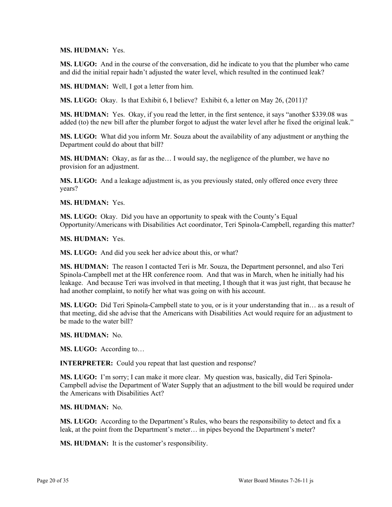**MS. HUDMAN:** Yes.

**MS. LUGO:** And in the course of the conversation, did he indicate to you that the plumber who came and did the initial repair hadn't adjusted the water level, which resulted in the continued leak?

**MS. HUDMAN:** Well, I got a letter from him.

**MS. LUGO:** Okay. Is that Exhibit 6, I believe? Exhibit 6, a letter on May 26, (2011)?

**MS. HUDMAN:** Yes. Okay, if you read the letter, in the first sentence, it says "another \$339.08 was added (to) the new bill after the plumber forgot to adjust the water level after he fixed the original leak."

**MS. LUGO:** What did you inform Mr. Souza about the availability of any adjustment or anything the Department could do about that bill?

**MS. HUDMAN:** Okay, as far as the… I would say, the negligence of the plumber, we have no provision for an adjustment.

**MS. LUGO:** And a leakage adjustment is, as you previously stated, only offered once every three years?

**MS. HUDMAN:** Yes.

**MS. LUGO:** Okay. Did you have an opportunity to speak with the County's Equal Opportunity/Americans with Disabilities Act coordinator, Teri Spinola-Campbell, regarding this matter?

**MS. HUDMAN:** Yes.

**MS. LUGO:** And did you seek her advice about this, or what?

**MS. HUDMAN:** The reason I contacted Teri is Mr. Souza, the Department personnel, and also Teri Spinola-Campbell met at the HR conference room. And that was in March, when he initially had his leakage. And because Teri was involved in that meeting, I though that it was just right, that because he had another complaint, to notify her what was going on with his account.

**MS. LUGO:** Did Teri Spinola-Campbell state to you, or is it your understanding that in… as a result of that meeting, did she advise that the Americans with Disabilities Act would require for an adjustment to be made to the water bill?

**MS. HUDMAN:** No.

**MS. LUGO:** According to…

**INTERPRETER:** Could you repeat that last question and response?

**MS. LUGO:** I'm sorry; I can make it more clear. My question was, basically, did Teri Spinola-Campbell advise the Department of Water Supply that an adjustment to the bill would be required under the Americans with Disabilities Act?

**MS. HUDMAN:** No.

**MS. LUGO:** According to the Department's Rules, who bears the responsibility to detect and fix a leak, at the point from the Department's meter… in pipes beyond the Department's meter?

**MS. HUDMAN:** It is the customer's responsibility.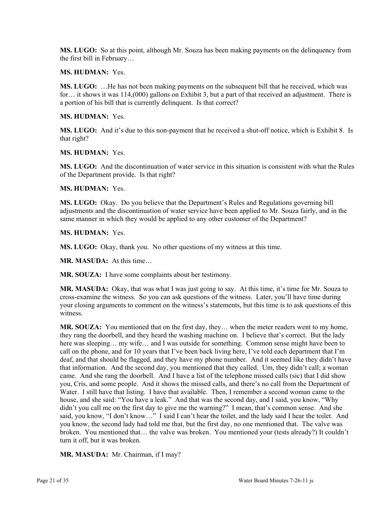**MS. LUGO:** So at this point, although Mr. Souza has been making payments on the delinquency from the first bill in February…

**MS. HUDMAN:** Yes.

**MS. LUGO:** ... He has not been making payments on the subsequent bill that he received, which was for… it shows it was 114,(000) gallons on Exhibit 3, but a part of that received an adjustment. There is a portion of his bill that is currently delinquent. Is that correct?

**MS. HUDMAN:** Yes.

**MS. LUGO:** And it's due to this non-payment that he received a shut-off notice, which is Exhibit 8. Is that right?

**MS. HUDMAN:** Yes.

**MS. LUGO:** And the discontinuation of water service in this situation is consistent with what the Rules of the Department provide. Is that right?

**MS. HUDMAN:** Yes.

**MS. LUGO:** Okay. Do you believe that the Department's Rules and Regulations governing bill adjustments and the discontinuation of water service have been applied to Mr. Souza fairly, and in the same manner in which they would be applied to any other customer of the Department?

**MS. HUDMAN:** Yes.

**MS. LUGO:** Okay, thank you. No other questions of my witness at this time.

**MR. MASUDA:** At this time…

**MR. SOUZA:** I have some complaints about her testimony.

**MR. MASUDA:** Okay, that was what I was just going to say. At this time, it's time for Mr. Souza to cross-examine the witness. So you can ask questions of the witness. Later, you'll have time during your closing arguments to comment on the witness's statements, but this time is to ask questions of this witness.

**MR. SOUZA:** You mentioned that on the first day, they… when the meter readers went to my home, they rang the doorbell, and they heard the washing machine on. I believe that's correct. But the lady here was sleeping… my wife… and I was outside for something. Common sense might have been to call on the phone, and for 10 years that I've been back living here, I've told each department that I'm deaf, and that should be flagged, and they have my phone number. And it seemed like they didn't have that information. And the second day, you mentioned that they called. Um, they didn't call; a woman came. And she rang the doorbell. And I have a list of the telephone missed calls (sic) that I did show you, Cris, and some people. And it shows the missed calls, and there's no call from the Department of Water. I still have that listing. I have that available. Then, I remember a second woman came to the house, and she said: "You have a leak." And that was the second day, and I said, you know, "Why didn't you call me on the first day to give me the warning?" I mean, that's common sense. And she said, you know, "I don't know…" I said I can't hear the toilet, and the lady said I hear the toilet. And you know, the second lady had told me that, but the first day, no one mentioned that. The valve was broken. You mentioned that… the valve was broken. You mentioned your (tests already?) It couldn't turn it off, but it was broken.

**MR. MASUDA:** Mr. Chairman, if I may?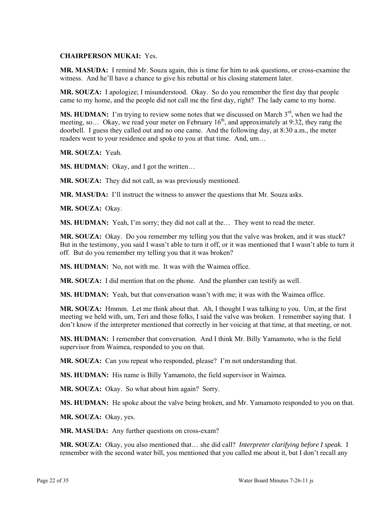## **CHAIRPERSON MUKAI:** Yes.

**MR. MASUDA:** I remind Mr. Souza again, this is time for him to ask questions, or cross-examine the witness. And he'll have a chance to give his rebuttal or his closing statement later.

**MR. SOUZA:** I apologize; I misunderstood. Okay. So do you remember the first day that people came to my home, and the people did not call me the first day, right? The lady came to my home.

**MS. HUDMAN:** I'm trying to review some notes that we discussed on March  $3<sup>rd</sup>$ , when we had the meeting, so... Okay, we read your meter on February  $16<sup>th</sup>$ , and approximately at 9:32, they rang the doorbell. I guess they called out and no one came. And the following day, at 8:30 a.m., the meter readers went to your residence and spoke to you at that time. And, um…

**MR. SOUZA:** Yeah.

**MS. HUDMAN:** Okay, and I got the written...

**MR. SOUZA:** They did not call, as was previously mentioned.

**MR. MASUDA:** I'll instruct the witness to answer the questions that Mr. Souza asks.

**MR. SOUZA:** Okay.

**MS. HUDMAN:** Yeah, I'm sorry; they did not call at the… They went to read the meter.

**MR. SOUZA:** Okay. Do you remember my telling you that the valve was broken, and it was stuck? But in the testimony, you said I wasn't able to turn it off, or it was mentioned that I wasn't able to turn it off. But do you remember my telling you that it was broken?

**MS. HUDMAN:** No, not with me. It was with the Waimea office.

**MR. SOUZA:** I did mention that on the phone. And the plumber can testify as well.

**MS. HUDMAN:** Yeah, but that conversation wasn't with me; it was with the Waimea office.

**MR. SOUZA:** Hmmm. Let me think about that. Ah, I thought I was talking to you. Um, at the first meeting we held with, um, Teri and those folks, I said the valve was broken. I remember saying that. I don't know if the interpreter mentioned that correctly in her voicing at that time, at that meeting, or not.

**MS. HUDMAN:** I remember that conversation. And I think Mr. Billy Yamamoto, who is the field supervisor from Waimea, responded to you on that.

**MR. SOUZA:** Can you repeat who responded, please? I'm not understanding that.

**MS. HUDMAN:** His name is Billy Yamamoto, the field supervisor in Waimea.

**MR. SOUZA:** Okay. So what about him again? Sorry.

**MS. HUDMAN:** He spoke about the valve being broken, and Mr. Yamamoto responded to you on that.

**MR. SOUZA:** Okay, yes.

**MR. MASUDA:** Any further questions on cross-exam?

**MR. SOUZA:** Okay, you also mentioned that… she did call? *Interpreter clarifying before I speak*. I remember with the second water bill, you mentioned that you called me about it, but I don't recall any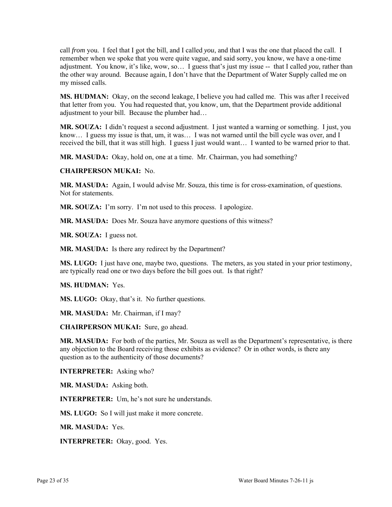call *from* you. I feel that I got the bill, and I called *you*, and that I was the one that placed the call. I remember when we spoke that you were quite vague, and said sorry, you know, we have a one-time adjustment. You know, it's like, wow, so… I guess that's just my issue -- that I called *you,* rather than the other way around. Because again, I don't have that the Department of Water Supply called me on my missed calls.

**MS. HUDMAN:** Okay, on the second leakage, I believe you had called me. This was after I received that letter from you. You had requested that, you know, um, that the Department provide additional adjustment to your bill. Because the plumber had…

**MR. SOUZA:** I didn't request a second adjustment. I just wanted a warning or something. I just, you know... I guess my issue is that, um, it was... I was not warned until the bill cycle was over, and I received the bill, that it was still high. I guess I just would want… I wanted to be warned prior to that.

**MR. MASUDA:** Okay, hold on, one at a time. Mr. Chairman, you had something?

### **CHAIRPERSON MUKAI:** No.

**MR. MASUDA:** Again, I would advise Mr. Souza, this time is for cross-examination, of questions. Not for statements.

**MR. SOUZA:** I'm sorry. I'm not used to this process. I apologize.

**MR. MASUDA:** Does Mr. Souza have anymore questions of this witness?

**MR. SOUZA:** I guess not.

**MR. MASUDA:** Is there any redirect by the Department?

**MS. LUGO:** I just have one, maybe two, questions. The meters, as you stated in your prior testimony, are typically read one or two days before the bill goes out. Is that right?

**MS. HUDMAN:** Yes.

**MS. LUGO:** Okay, that's it. No further questions.

**MR. MASUDA:** Mr. Chairman, if I may?

**CHAIRPERSON MUKAI:** Sure, go ahead.

**MR. MASUDA:** For both of the parties, Mr. Souza as well as the Department's representative, is there any objection to the Board receiving those exhibits as evidence? Or in other words, is there any question as to the authenticity of those documents?

**INTERPRETER:** Asking who?

**MR. MASUDA:** Asking both.

**INTERPRETER:** Um, he's not sure he understands.

**MS. LUGO:** So I will just make it more concrete.

**MR. MASUDA:** Yes.

**INTERPRETER:** Okay, good. Yes.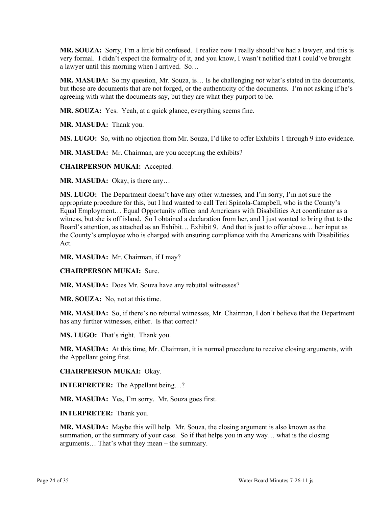**MR. SOUZA:** Sorry, I'm a little bit confused. I realize now I really should've had a lawyer, and this is very formal. I didn't expect the formality of it, and you know, I wasn't notified that I could've brought a lawyer until this morning when I arrived. So…

**MR. MASUDA:** So my question, Mr. Souza, is… Is he challenging *not* what's stated in the documents, but those are documents that are not forged, or the authenticity of the documents. I'm not asking if he's agreeing with what the documents say, but they are what they purport to be.

**MR. SOUZA:** Yes. Yeah, at a quick glance, everything seems fine.

**MR. MASUDA:** Thank you.

**MS. LUGO:** So, with no objection from Mr. Souza, I'd like to offer Exhibits 1 through 9 into evidence.

**MR. MASUDA:** Mr. Chairman, are you accepting the exhibits?

**CHAIRPERSON MUKAI:** Accepted.

**MR. MASUDA:** Okay, is there any…

**MS. LUGO:** The Department doesn't have any other witnesses, and I'm sorry, I'm not sure the appropriate procedure for this, but I had wanted to call Teri Spinola-Campbell, who is the County's Equal Employment… Equal Opportunity officer and Americans with Disabilities Act coordinator as a witness, but she is off island. So I obtained a declaration from her, and I just wanted to bring that to the Board's attention, as attached as an Exhibit… Exhibit 9. And that is just to offer above… her input as the County's employee who is charged with ensuring compliance with the Americans with Disabilities Act.

**MR. MASUDA:** Mr. Chairman, if I may?

## **CHAIRPERSON MUKAI:** Sure.

**MR. MASUDA:** Does Mr. Souza have any rebuttal witnesses?

**MR. SOUZA:** No, not at this time.

**MR. MASUDA:** So, if there's no rebuttal witnesses, Mr. Chairman, I don't believe that the Department has any further witnesses, either. Is that correct?

**MS. LUGO:** That's right. Thank you.

**MR. MASUDA:** At this time, Mr. Chairman, it is normal procedure to receive closing arguments, with the Appellant going first.

### **CHAIRPERSON MUKAI:** Okay.

**INTERPRETER:** The Appellant being…?

**MR. MASUDA:** Yes, I'm sorry. Mr. Souza goes first.

**INTERPRETER:** Thank you.

**MR. MASUDA:** Maybe this will help. Mr. Souza, the closing argument is also known as the summation, or the summary of your case. So if that helps you in any way... what is the closing arguments… That's what they mean – the summary.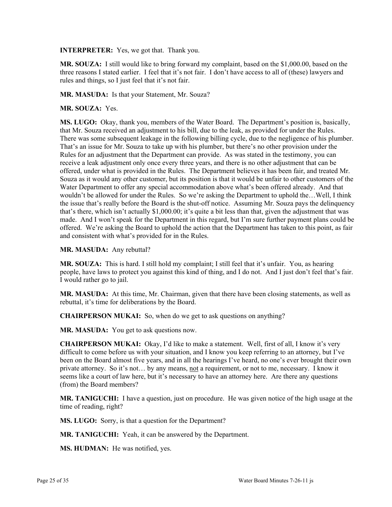**INTERPRETER:** Yes, we got that. Thank you.

**MR. SOUZA:** I still would like to bring forward my complaint, based on the \$1,000.00, based on the three reasons I stated earlier. I feel that it's not fair. I don't have access to all of (these) lawyers and rules and things, so I just feel that it's not fair.

**MR. MASUDA:** Is that your Statement, Mr. Souza?

### **MR. SOUZA:** Yes.

**MS. LUGO:** Okay, thank you, members of the Water Board. The Department's position is, basically, that Mr. Souza received an adjustment to his bill, due to the leak, as provided for under the Rules. There was some subsequent leakage in the following billing cycle, due to the negligence of his plumber. That's an issue for Mr. Souza to take up with his plumber, but there's no other provision under the Rules for an adjustment that the Department can provide. As was stated in the testimony, you can receive a leak adjustment only once every three years, and there is no other adjustment that can be offered, under what is provided in the Rules. The Department believes it has been fair, and treated Mr. Souza as it would any other customer, but its position is that it would be unfair to other customers of the Water Department to offer any special accommodation above what's been offered already. And that wouldn't be allowed for under the Rules. So we're asking the Department to uphold the...Well, I think the issue that's really before the Board is the shut-off notice. Assuming Mr. Souza pays the delinquency that's there, which isn't actually \$1,000.00; it's quite a bit less than that, given the adjustment that was made. And I won't speak for the Department in this regard, but I'm sure further payment plans could be offered. We're asking the Board to uphold the action that the Department has taken to this point, as fair and consistent with what's provided for in the Rules.

### **MR. MASUDA:** Any rebuttal?

**MR. SOUZA:** This is hard. I still hold my complaint; I still feel that it's unfair. You, as hearing people, have laws to protect you against this kind of thing, and I do not. And I just don't feel that's fair. I would rather go to jail.

**MR. MASUDA:** At this time, Mr. Chairman, given that there have been closing statements, as well as rebuttal, it's time for deliberations by the Board.

**CHAIRPERSON MUKAI:** So, when do we get to ask questions on anything?

**MR. MASUDA:** You get to ask questions now.

**CHAIRPERSON MUKAI:** Okay, I'd like to make a statement. Well, first of all, I know it's very difficult to come before us with your situation, and I know you keep referring to an attorney, but I've been on the Board almost five years, and in all the hearings I've heard, no one's ever brought their own private attorney. So it's not… by any means, not a requirement, or not to me, necessary. I know it seems like a court of law here, but it's necessary to have an attorney here. Are there any questions (from) the Board members?

**MR. TANIGUCHI:** I have a question, just on procedure. He was given notice of the high usage at the time of reading, right?

**MS. LUGO:** Sorry, is that a question for the Department?

**MR. TANIGUCHI:** Yeah, it can be answered by the Department.

**MS. HUDMAN:** He was notified, yes.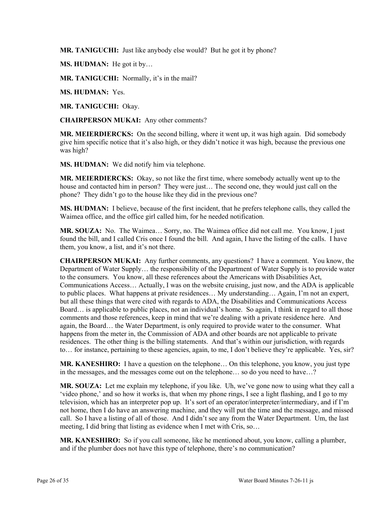**MR. TANIGUCHI:** Just like anybody else would? But he got it by phone?

**MS. HUDMAN:** He got it by…

**MR. TANIGUCHI:** Normally, it's in the mail?

**MS. HUDMAN:** Yes.

**MR. TANIGUCHI:** Okay.

**CHAIRPERSON MUKAI:** Any other comments?

**MR. MEIERDIERCKS:** On the second billing, where it went up, it was high again. Did somebody give him specific notice that it's also high, or they didn't notice it was high, because the previous one was high?

**MS. HUDMAN:** We did notify him via telephone.

**MR. MEIERDIERCKS:** Okay, so not like the first time, where somebody actually went up to the house and contacted him in person? They were just... The second one, they would just call on the phone? They didn't go to the house like they did in the previous one?

**MS. HUDMAN:** I believe, because of the first incident, that he prefers telephone calls, they called the Waimea office, and the office girl called him, for he needed notification.

**MR. SOUZA:** No. The Waimea… Sorry, no. The Waimea office did not call me. You know, I just found the bill, and I called Cris once I found the bill. And again, I have the listing of the calls. I have them, you know, a list, and it's not there.

**CHAIRPERSON MUKAI:** Any further comments, any questions? I have a comment. You know, the Department of Water Supply… the responsibility of the Department of Water Supply is to provide water to the consumers. You know, all these references about the Americans with Disabilities Act, Communications Access… Actually, I was on the website cruising, just now, and the ADA is applicable to public places. What happens at private residences… My understanding… Again, I'm not an expert, but all these things that were cited with regards to ADA, the Disabilities and Communications Access Board… is applicable to public places, not an individual's home. So again, I think in regard to all those comments and those references, keep in mind that we're dealing with a private residence here. And again, the Board… the Water Department, is only required to provide water to the consumer. What happens from the meter in, the Commission of ADA and other boards are not applicable to private residences. The other thing is the billing statements. And that's within our jurisdiction, with regards to… for instance, pertaining to these agencies, again, to me, I don't believe they're applicable. Yes, sir?

**MR. KANESHIRO:** I have a question on the telephone… On this telephone, you know, you just type in the messages, and the messages come out on the telephone… so do you need to have…?

**MR. SOUZA:** Let me explain my telephone, if you like. Uh, we've gone now to using what they call a 'video phone,' and so how it works is, that when my phone rings, I see a light flashing, and I go to my television, which has an interpreter pop up. It's sort of an operator/interpreter/intermediary, and if I'm not home, then I do have an answering machine, and they will put the time and the message, and missed call. So I have a listing of all of those. And I didn't see any from the Water Department. Um, the last meeting, I did bring that listing as evidence when I met with Cris, so…

**MR. KANESHIRO:** So if you call someone, like he mentioned about, you know, calling a plumber, and if the plumber does not have this type of telephone, there's no communication?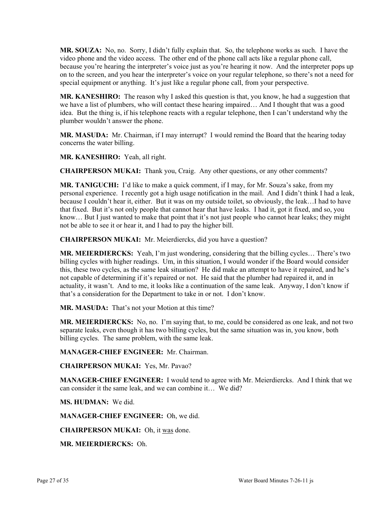**MR. SOUZA:** No, no. Sorry, I didn't fully explain that. So, the telephone works as such. I have the video phone and the video access. The other end of the phone call acts like a regular phone call, because you're hearing the interpreter's voice just as you're hearing it now. And the interpreter pops up on to the screen, and you hear the interpreter's voice on your regular telephone, so there's not a need for special equipment or anything. It's just like a regular phone call, from your perspective.

**MR. KANESHIRO:** The reason why I asked this question is that, you know, he had a suggestion that we have a list of plumbers, who will contact these hearing impaired… And I thought that was a good idea. But the thing is, if his telephone reacts with a regular telephone, then I can't understand why the plumber wouldn't answer the phone.

**MR. MASUDA:** Mr. Chairman, if I may interrupt? I would remind the Board that the hearing today concerns the water billing.

**MR. KANESHIRO:** Yeah, all right.

**CHAIRPERSON MUKAI:** Thank you, Craig. Any other questions, or any other comments?

**MR. TANIGUCHI:** I'd like to make a quick comment, if I may, for Mr. Souza's sake, from my personal experience. I recently got a high usage notification in the mail. And I didn't think I had a leak, because I couldn't hear it, either. But it was on my outside toilet, so obviously, the leak…I had to have that fixed. But it's not only people that cannot hear that have leaks. I had it, got it fixed, and so, you know… But I just wanted to make that point that it's not just people who cannot hear leaks; they might not be able to see it or hear it, and I had to pay the higher bill.

**CHAIRPERSON MUKAI:** Mr. Meierdiercks, did you have a question?

**MR. MEIERDIERCKS:** Yeah, I'm just wondering, considering that the billing cycles… There's two billing cycles with higher readings. Um, in this situation, I would wonder if the Board would consider this, these two cycles, as the same leak situation? He did make an attempt to have it repaired, and he's not capable of determining if it's repaired or not. He said that the plumber had repaired it, and in actuality, it wasn't. And to me, it looks like a continuation of the same leak. Anyway, I don't know if that's a consideration for the Department to take in or not. I don't know.

**MR. MASUDA:** That's not your Motion at this time?

**MR. MEIERDIERCKS:** No, no. I'm saying that, to me, could be considered as one leak, and not two separate leaks, even though it has two billing cycles, but the same situation was in, you know, both billing cycles. The same problem, with the same leak.

**MANAGER-CHIEF ENGINEER:** Mr. Chairman.

**CHAIRPERSON MUKAI:** Yes, Mr. Pavao?

**MANAGER-CHIEF ENGINEER:** I would tend to agree with Mr. Meierdiercks. And I think that we can consider it the same leak, and we can combine it… We did?

**MS. HUDMAN:** We did.

**MANAGER-CHIEF ENGINEER:** Oh, we did.

**CHAIRPERSON MUKAI:** Oh, it was done.

**MR. MEIERDIERCKS:** Oh.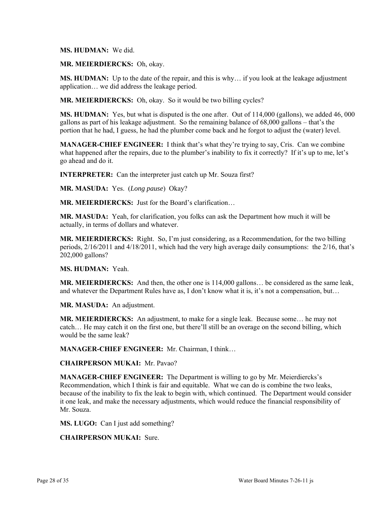### **MS. HUDMAN:** We did.

### **MR. MEIERDIERCKS:** Oh, okay.

**MS. HUDMAN:** Up to the date of the repair, and this is why… if you look at the leakage adjustment application… we did address the leakage period.

**MR. MEIERDIERCKS:** Oh, okay. So it would be two billing cycles?

**MS. HUDMAN:** Yes, but what is disputed is the one after. Out of 114,000 (gallons), we added 46, 000 gallons as part of his leakage adjustment. So the remaining balance of 68,000 gallons – that's the portion that he had, I guess, he had the plumber come back and he forgot to adjust the (water) level.

**MANAGER-CHIEF ENGINEER:** I think that's what they're trying to say, Cris. Can we combine what happened after the repairs, due to the plumber's inability to fix it correctly? If it's up to me, let's go ahead and do it.

**INTERPRETER:** Can the interpreter just catch up Mr. Souza first?

**MR. MASUDA:** Yes. (*Long pause*) Okay?

**MR. MEIERDIERCKS:** Just for the Board's clarification…

**MR. MASUDA:** Yeah, for clarification, you folks can ask the Department how much it will be actually, in terms of dollars and whatever.

**MR. MEIERDIERCKS:** Right. So, I'm just considering, as a Recommendation, for the two billing periods, 2/16/2011 and 4/18/2011, which had the very high average daily consumptions: the 2/16, that's 202,000 gallons?

**MS. HUDMAN:** Yeah.

**MR. MEIERDIERCKS:** And then, the other one is 114,000 gallons… be considered as the same leak, and whatever the Department Rules have as, I don't know what it is, it's not a compensation, but…

**MR. MASUDA:** An adjustment.

**MR. MEIERDIERCKS:** An adjustment, to make for a single leak. Because some… he may not catch… He may catch it on the first one, but there'll still be an overage on the second billing, which would be the same leak?

**MANAGER-CHIEF ENGINEER:** Mr. Chairman, I think…

**CHAIRPERSON MUKAI:** Mr. Pavao?

**MANAGER-CHIEF ENGINEER:** The Department is willing to go by Mr. Meierdiercks's Recommendation, which I think is fair and equitable. What we can do is combine the two leaks, because of the inability to fix the leak to begin with, which continued. The Department would consider it one leak, and make the necessary adjustments, which would reduce the financial responsibility of Mr. Souza.

**MS. LUGO:** Can I just add something?

**CHAIRPERSON MUKAI:** Sure.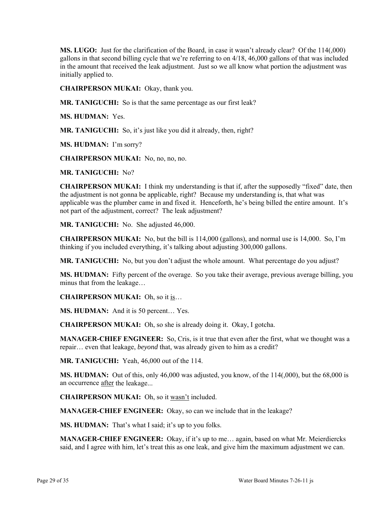**MS. LUGO:** Just for the clarification of the Board, in case it wasn't already clear? Of the 114(,000) gallons in that second billing cycle that we're referring to on 4/18, 46,000 gallons of that was included in the amount that received the leak adjustment. Just so we all know what portion the adjustment was initially applied to.

**CHAIRPERSON MUKAI:** Okay, thank you.

**MR. TANIGUCHI:** So is that the same percentage as our first leak?

**MS. HUDMAN:** Yes.

**MR. TANIGUCHI:** So, it's just like you did it already, then, right?

**MS. HUDMAN:** I'm sorry?

**CHAIRPERSON MUKAI:** No, no, no, no.

**MR. TANIGUCHI:** No?

**CHAIRPERSON MUKAI:** I think my understanding is that if, after the supposedly "fixed" date, then the adjustment is not gonna be applicable, right? Because my understanding is, that what was applicable was the plumber came in and fixed it. Henceforth, he's being billed the entire amount. It's not part of the adjustment, correct? The leak adjustment?

**MR. TANIGUCHI:** No. She adjusted 46,000.

**CHAIRPERSON MUKAI:** No, but the bill is 114,000 (gallons), and normal use is 14,000. So, I'm thinking if you included everything, it's talking about adjusting 300,000 gallons.

**MR. TANIGUCHI:** No, but you don't adjust the whole amount. What percentage do you adjust?

**MS. HUDMAN:** Fifty percent of the overage. So you take their average, previous average billing, you minus that from the leakage…

**CHAIRPERSON MUKAI:** Oh, so it is…

**MS. HUDMAN:** And it is 50 percent… Yes.

**CHAIRPERSON MUKAI:** Oh, so she is already doing it. Okay, I gotcha.

**MANAGER-CHIEF ENGINEER:** So, Cris, is it true that even after the first, what we thought was a repair… even that leakage, *beyond* that, was already given to him as a credit?

**MR. TANIGUCHI:** Yeah, 46,000 out of the 114.

**MS. HUDMAN:** Out of this, only 46,000 was adjusted, you know, of the 114(,000), but the 68,000 is an occurrence after the leakage...

**CHAIRPERSON MUKAI:** Oh, so it wasn't included.

**MANAGER-CHIEF ENGINEER:** Okay, so can we include that in the leakage?

**MS. HUDMAN:** That's what I said; it's up to you folks.

**MANAGER-CHIEF ENGINEER:** Okay, if it's up to me… again, based on what Mr. Meierdiercks said, and I agree with him, let's treat this as one leak, and give him the maximum adjustment we can.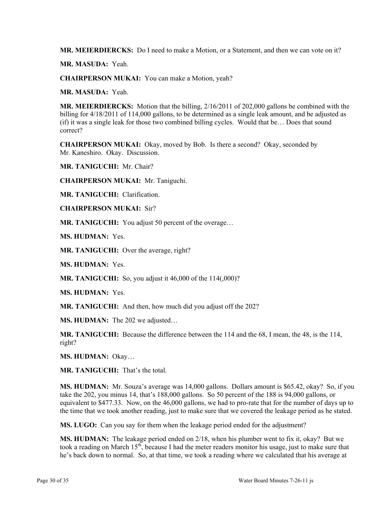**MR. MEIERDIERCKS:** Do I need to make a Motion, or a Statement, and then we can vote on it?

**MR. MASUDA:** Yeah.

**CHAIRPERSON MUKAI:** You can make a Motion, yeah?

**MR. MASUDA:** Yeah.

**MR. MEIERDIERCKS:** Motion that the billing, 2/16/2011 of 202,000 gallons be combined with the billing for 4/18/2011 of 114,000 gallons, to be determined as a single leak amount, and be adjusted as (if) it was a single leak for those two combined billing cycles. Would that be… Does that sound correct?

**CHAIRPERSON MUKAI:** Okay, moved by Bob. Is there a second? Okay, seconded by Mr. Kaneshiro. Okay. Discussion.

**MR. TANIGUCHI:** Mr. Chair?

**CHAIRPERSON MUKAI:** Mr. Taniguchi.

**MR. TANIGUCHI:** Clarification.

**CHAIRPERSON MUKAI:** Sir?

**MR. TANIGUCHI:** You adjust 50 percent of the overage…

**MS. HUDMAN:** Yes.

**MR. TANIGUCHI:** Over the average, right?

**MS. HUDMAN:** Yes.

**MR. TANIGUCHI:** So, you adjust it 46,000 of the 114(,000)?

**MS. HUDMAN:** Yes.

**MR. TANIGUCHI:** And then, how much did you adjust off the 202?

**MS. HUDMAN:** The 202 we adjusted…

**MR. TANIGUCHI:** Because the difference between the 114 and the 68, I mean, the 48, is the 114, right?

**MS. HUDMAN:** Okay…

**MR. TANIGUCHI:** That's the total.

**MS. HUDMAN:** Mr. Souza's average was 14,000 gallons. Dollars amount is \$65.42, okay? So, if you take the 202, you minus 14, that's 188,000 gallons. So 50 percent of the 188 is 94,000 gallons, or equivalent to \$477.33. Now, on the 46,000 gallons, we had to pro-rate that for the number of days up to the time that we took another reading, just to make sure that we covered the leakage period as he stated.

**MS. LUGO:** Can you say for them when the leakage period ended for the adjustment?

**MS. HUDMAN:** The leakage period ended on 2/18, when his plumber went to fix it, okay? But we took a reading on March  $15<sup>th</sup>$ , because I had the meter readers monitor his usage, just to make sure that he's back down to normal. So, at that time, we took a reading where we calculated that his average at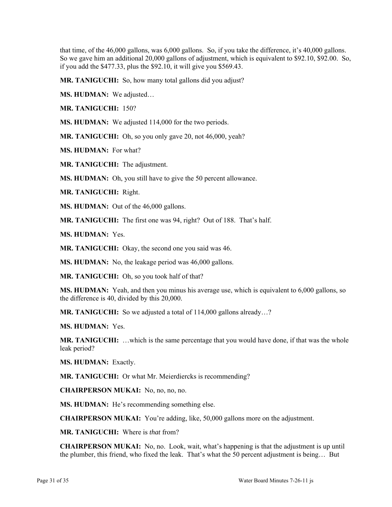that time, of the 46,000 gallons, was 6,000 gallons. So, if you take the difference, it's 40,000 gallons. So we gave him an additional 20,000 gallons of adjustment, which is equivalent to \$92.10, \$92.00. So, if you add the \$477.33, plus the \$92.10, it will give you \$569.43.

**MR. TANIGUCHI:** So, how many total gallons did you adjust?

**MS. HUDMAN:** We adjusted…

**MR. TANIGUCHI:** 150?

**MS. HUDMAN:** We adjusted 114,000 for the two periods.

**MR. TANIGUCHI:** Oh, so you only gave 20, not 46,000, yeah?

**MS. HUDMAN:** For what?

**MR. TANIGUCHI:** The adjustment.

**MS. HUDMAN:** Oh, you still have to give the 50 percent allowance.

**MR. TANIGUCHI:** Right.

**MS. HUDMAN:** Out of the 46,000 gallons.

**MR. TANIGUCHI:** The first one was 94, right? Out of 188. That's half.

**MS. HUDMAN:** Yes.

**MR. TANIGUCHI:** Okay, the second one you said was 46.

**MS. HUDMAN:** No, the leakage period was 46,000 gallons.

**MR. TANIGUCHI:** Oh, so you took half of that?

**MS. HUDMAN:** Yeah, and then you minus his average use, which is equivalent to 6,000 gallons, so the difference is 40, divided by this 20,000.

**MR. TANIGUCHI:** So we adjusted a total of 114,000 gallons already...?

**MS. HUDMAN:** Yes.

**MR. TANIGUCHI:** …which is the same percentage that you would have done, if that was the whole leak period?

**MS. HUDMAN:** Exactly.

**MR. TANIGUCHI:** Or what Mr. Meierdiercks is recommending?

**CHAIRPERSON MUKAI:** No, no, no, no.

**MS. HUDMAN:** He's recommending something else.

**CHAIRPERSON MUKAI:** You're adding, like, 50,000 gallons more on the adjustment.

**MR. TANIGUCHI:** Where is *that* from?

**CHAIRPERSON MUKAI:** No, no. Look, wait, what's happening is that the adjustment is up until the plumber, this friend, who fixed the leak. That's what the 50 percent adjustment is being… But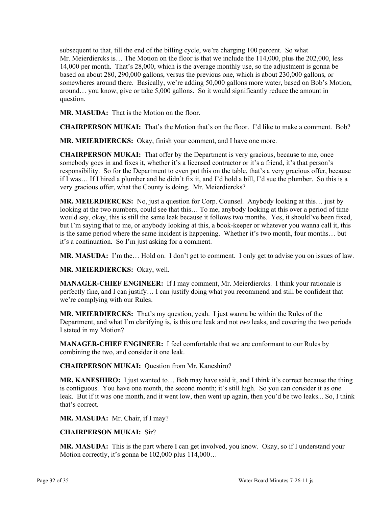subsequent to that, till the end of the billing cycle, we're charging 100 percent. So what Mr. Meierdiercks is… The Motion on the floor is that we include the 114,000, plus the 202,000, less 14,000 per month. That's 28,000, which is the average monthly use, so the adjustment is gonna be based on about 280, 290,000 gallons, versus the previous one, which is about 230,000 gallons, or somewheres around there. Basically, we're adding 50,000 gallons more water, based on Bob's Motion, around… you know, give or take 5,000 gallons. So it would significantly reduce the amount in question.

**MR. MASUDA:** That is the Motion on the floor.

**CHAIRPERSON MUKAI:** That's the Motion that's on the floor. I'd like to make a comment. Bob?

**MR. MEIERDIERCKS:** Okay, finish your comment, and I have one more.

**CHAIRPERSON MUKAI:** That offer by the Department is very gracious, because to me, once somebody goes in and fixes it, whether it's a licensed contractor or it's a friend, it's that person's responsibility. So for the Department to even put this on the table, that's a very gracious offer, because if I was… If I hired a plumber and he didn't fix it, and I'd hold a bill, I'd sue the plumber. So this is a very gracious offer, what the County is doing. Mr. Meierdiercks?

**MR. MEIERDIERCKS:** No, just a question for Corp. Counsel. Anybody looking at this… just by looking at the two numbers, could see that this… To me, anybody looking at this over a period of time would say, okay, this is still the same leak because it follows two months. Yes, it should've been fixed, but I'm saying that to me, or anybody looking at this, a book-keeper or whatever you wanna call it, this is the same period where the same incident is happening. Whether it's two month, four months… but it's a continuation. So I'm just asking for a comment.

**MR. MASUDA:** I'm the… Hold on. I don't get to comment. I only get to advise you on issues of law.

**MR. MEIERDIERCKS:** Okay, well.

**MANAGER-CHIEF ENGINEER:** If I may comment, Mr. Meierdiercks. I think your rationale is perfectly fine, and I can justify… I can justify doing what you recommend and still be confident that we're complying with our Rules.

**MR. MEIERDIERCKS:** That's my question, yeah. I just wanna be within the Rules of the Department, and what I'm clarifying is, is this one leak and not *two* leaks, and covering the two periods I stated in my Motion?

**MANAGER-CHIEF ENGINEER:** I feel comfortable that we are conformant to our Rules by combining the two, and consider it one leak.

**CHAIRPERSON MUKAI:** Question from Mr. Kaneshiro?

**MR. KANESHIRO:** I just wanted to… Bob may have said it, and I think it's correct because the thing is contiguous. You have one month, the second month; it's still high. So you can consider it as one leak. But if it was one month, and it went low, then went up again, then you'd be two leaks... So, I think that's correct.

**MR. MASUDA:** Mr. Chair, if I may?

### **CHAIRPERSON MUKAI:** Sir?

**MR. MASUDA:** This is the part where I can get involved, you know. Okay, so if I understand your Motion correctly, it's gonna be 102,000 plus 114,000...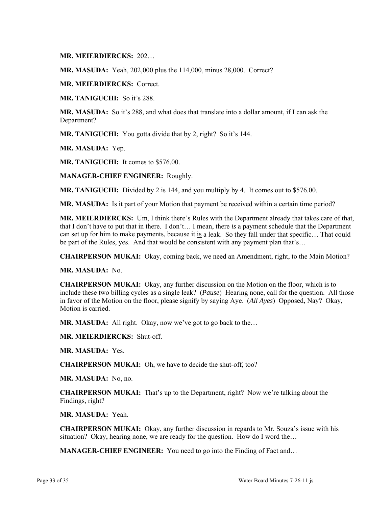**MR. MEIERDIERCKS:** 202…

**MR. MASUDA:** Yeah, 202,000 plus the 114,000, minus 28,000. Correct?

**MR. MEIERDIERCKS:** Correct.

**MR. TANIGUCHI:** So it's 288.

**MR. MASUDA:** So it's 288, and what does that translate into a dollar amount, if I can ask the Department?

**MR. TANIGUCHI:** You gotta divide that by 2, right? So it's 144.

**MR. MASUDA:** Yep.

**MR. TANIGUCHI:** It comes to \$576.00.

**MANAGER-CHIEF ENGINEER:** Roughly.

**MR. TANIGUCHI:** Divided by 2 is 144, and you multiply by 4. It comes out to \$576.00.

**MR. MASUDA:** Is it part of your Motion that payment be received within a certain time period?

**MR. MEIERDIERCKS:** Um, I think there's Rules with the Department already that takes care of that, that I don't have to put that in there. I don't… I mean, there *is* a payment schedule that the Department can set up for him to make payments, because it is a leak. So they fall under that specific… That could be part of the Rules, yes. And that would be consistent with any payment plan that's...

**CHAIRPERSON MUKAI:** Okay, coming back, we need an Amendment, right, to the Main Motion?

**MR. MASUDA:** No.

**CHAIRPERSON MUKAI:** Okay, any further discussion on the Motion on the floor, which is to include these two billing cycles as a single leak? (*Pause*) Hearing none, call for the question. All those in favor of the Motion on the floor, please signify by saying Aye. (*All Ayes*) Opposed, Nay? Okay, Motion is carried.

MR. MASUDA: All right. Okay, now we've got to go back to the...

**MR. MEIERDIERCKS:** Shut-off.

**MR. MASUDA:** Yes.

**CHAIRPERSON MUKAI:** Oh, we have to decide the shut-off, too?

**MR. MASUDA:** No, no.

**CHAIRPERSON MUKAI:** That's up to the Department, right? Now we're talking about the Findings, right?

**MR. MASUDA:** Yeah.

**CHAIRPERSON MUKAI:** Okay, any further discussion in regards to Mr. Souza's issue with his situation? Okay, hearing none, we are ready for the question. How do I word the...

**MANAGER-CHIEF ENGINEER:** You need to go into the Finding of Fact and…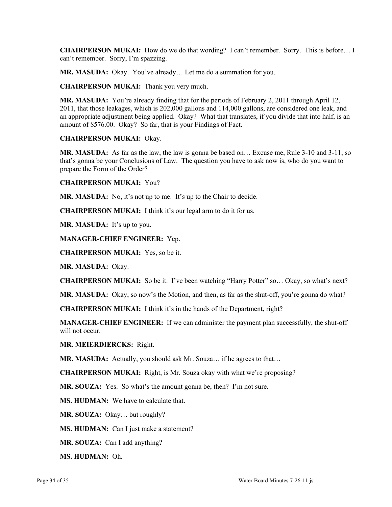**CHAIRPERSON MUKAI:** How do we do that wording? I can't remember. Sorry. This is before… I can't remember. Sorry, I'm spazzing.

**MR. MASUDA:** Okay. You've already… Let me do a summation for you.

**CHAIRPERSON MUKAI:** Thank you very much.

**MR. MASUDA:** You're already finding that for the periods of February 2, 2011 through April 12, 2011, that those leakages, which is 202,000 gallons and 114,000 gallons, are considered one leak, and an appropriate adjustment being applied. Okay? What that translates, if you divide that into half, is an amount of \$576.00. Okay? So far, that is your Findings of Fact.

### **CHAIRPERSON MUKAI:** Okay.

**MR. MASUDA:** As far as the law, the law is gonna be based on… Excuse me, Rule 3-10 and 3-11, so that's gonna be your Conclusions of Law. The question you have to ask now is, who do you want to prepare the Form of the Order?

**CHAIRPERSON MUKAI:** You?

**MR. MASUDA:** No, it's not up to me. It's up to the Chair to decide.

**CHAIRPERSON MUKAI:** I think it's our legal arm to do it for us.

**MR. MASUDA:** It's up to you.

### **MANAGER-CHIEF ENGINEER:** Yep.

**CHAIRPERSON MUKAI:** Yes, so be it.

**MR. MASUDA:** Okay.

**CHAIRPERSON MUKAI:** So be it. I've been watching "Harry Potter" so… Okay, so what's next?

**MR. MASUDA:** Okay, so now's the Motion, and then, as far as the shut-off, you're gonna do what?

**CHAIRPERSON MUKAI:** I think it's in the hands of the Department, right?

**MANAGER-CHIEF ENGINEER:** If we can administer the payment plan successfully, the shut-off will not occur.

**MR. MEIERDIERCKS:** Right.

**MR. MASUDA:** Actually, you should ask Mr. Souza… if he agrees to that…

**CHAIRPERSON MUKAI:** Right, is Mr. Souza okay with what we're proposing?

**MR. SOUZA:** Yes. So what's the amount gonna be, then? I'm not sure.

**MS. HUDMAN:** We have to calculate that.

**MR. SOUZA:** Okay… but roughly?

**MS. HUDMAN:** Can I just make a statement?

**MR. SOUZA:** Can I add anything?

**MS. HUDMAN:** Oh.